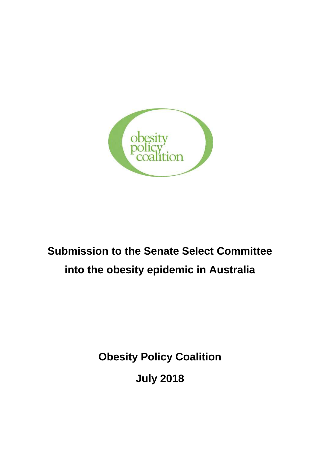

# **Submission to the Senate Select Committee into the obesity epidemic in Australia**

**Obesity Policy Coalition** 

**July 2018**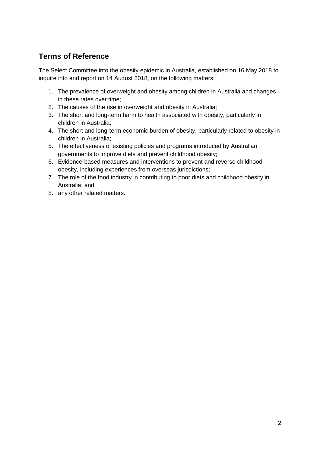# **Terms of Reference**

The Select Committee into the obesity epidemic in Australia, established on 16 May 2018 to inquire into and report on 14 August 2018, on the following matters:

- 1. The prevalence of overweight and obesity among children in Australia and changes in these rates over time;
- 2. The causes of the rise in overweight and obesity in Australia;
- 3. The short and long-term harm to health associated with obesity, particularly in children in Australia;
- 4. The short and long-term economic burden of obesity, particularly related to obesity in children in Australia;
- 5. The effectiveness of existing policies and programs introduced by Australian governments to improve diets and prevent childhood obesity;
- 6. Evidence-based measures and interventions to prevent and reverse childhood obesity, including experiences from overseas jurisdictions;
- 7. The role of the food industry in contributing to poor diets and childhood obesity in Australia; and
- 8. any other related matters.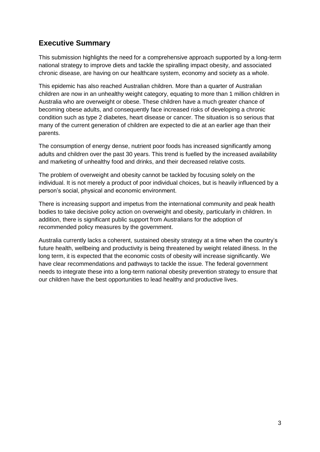# **Executive Summary**

This submission highlights the need for a comprehensive approach supported by a long-term national strategy to improve diets and tackle the spiralling impact obesity, and associated chronic disease, are having on our healthcare system, economy and society as a whole.

This epidemic has also reached Australian children. More than a quarter of Australian children are now in an unhealthy weight category, equating to more than 1 million children in Australia who are overweight or obese. These children have a much greater chance of becoming obese adults, and consequently face increased risks of developing a chronic condition such as type 2 diabetes, heart disease or cancer. The situation is so serious that many of the current generation of children are expected to die at an earlier age than their parents.

The consumption of energy dense, nutrient poor foods has increased significantly among adults and children over the past 30 years. This trend is fuelled by the increased availability and marketing of unhealthy food and drinks, and their decreased relative costs.

The problem of overweight and obesity cannot be tackled by focusing solely on the individual. It is not merely a product of poor individual choices, but is heavily influenced by a person's social, physical and economic environment.

There is increasing support and impetus from the international community and peak health bodies to take decisive policy action on overweight and obesity, particularly in children. In addition, there is significant public support from Australians for the adoption of recommended policy measures by the government.

Australia currently lacks a coherent, sustained obesity strategy at a time when the country's future health, wellbeing and productivity is being threatened by weight related illness. In the long term, it is expected that the economic costs of obesity will increase significantly. We have clear recommendations and pathways to tackle the issue. The federal government needs to integrate these into a long-term national obesity prevention strategy to ensure that our children have the best opportunities to lead healthy and productive lives.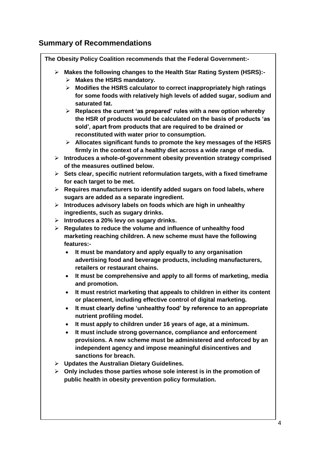# **Summary of Recommendations**

**The Obesity Policy Coalition recommends that the Federal Government:-**

- **Makes the following changes to the Health Star Rating System (HSRS):-**
	- **Makes the HSRS mandatory.**
	- **Modifies the HSRS calculator to correct inappropriately high ratings for some foods with relatively high levels of added sugar, sodium and saturated fat.**
	- **Replaces the current 'as prepared' rules with a new option whereby the HSR of products would be calculated on the basis of products 'as sold', apart from products that are required to be drained or reconstituted with water prior to consumption.**
	- **Allocates significant funds to promote the key messages of the HSRS firmly in the context of a healthy diet across a wide range of media.**
- **Introduces a whole-of-government obesity prevention strategy comprised of the measures outlined below.**
- **Sets clear, specific nutrient reformulation targets, with a fixed timeframe for each target to be met.**
- **Requires manufacturers to identify added sugars on food labels, where sugars are added as a separate ingredient.**
- **Introduces advisory labels on foods which are high in unhealthy ingredients, such as sugary drinks.**
- **Introduces a 20% levy on sugary drinks.**
- **Regulates to reduce the volume and influence of unhealthy food marketing reaching children. A new scheme must have the following features:-**
	- **It must be mandatory and apply equally to any organisation advertising food and beverage products, including manufacturers, retailers or restaurant chains.**
	- **It must be comprehensive and apply to all forms of marketing, media and promotion.**
	- **It must restrict marketing that appeals to children in either its content or placement, including effective control of digital marketing.**
	- **It must clearly define 'unhealthy food' by reference to an appropriate nutrient profiling model.**
	- **It must apply to children under 16 years of age, at a minimum.**
	- **It must include strong governance, compliance and enforcement provisions. A new scheme must be administered and enforced by an independent agency and impose meaningful disincentives and sanctions for breach.**
- **Updates the Australian Dietary Guidelines.**
- **Only includes those parties whose sole interest is in the promotion of public health in obesity prevention policy formulation.**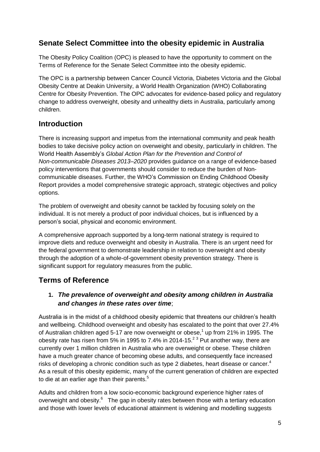# **Senate Select Committee into the obesity epidemic in Australia**

The Obesity Policy Coalition (OPC) is pleased to have the opportunity to comment on the Terms of Reference for the Senate Select Committee into the obesity epidemic.

The OPC is a partnership between Cancer Council Victoria, Diabetes Victoria and the Global Obesity Centre at Deakin University, a World Health Organization (WHO) Collaborating Centre for Obesity Prevention. The OPC advocates for evidence-based policy and regulatory change to address overweight, obesity and unhealthy diets in Australia, particularly among children.

# **Introduction**

There is increasing support and impetus from the international community and peak health bodies to take decisive policy action on overweight and obesity, particularly in children. The World Health Assembly's *Global Action Plan for the Prevention and Control of Non-communicable Diseases 2013–2020* provides guidance on a range of evidence-based policy interventions that governments should consider to reduce the burden of Noncommunicable diseases. Further, the WHO's Commission on Ending Childhood Obesity Report provides a model comprehensive strategic approach, strategic objectives and policy options.

The problem of overweight and obesity cannot be tackled by focusing solely on the individual. It is not merely a product of poor individual choices, but is influenced by a person's social, physical and economic environment.

A comprehensive approach supported by a long-term national strategy is required to improve diets and reduce overweight and obesity in Australia. There is an urgent need for the federal government to demonstrate leadership in relation to overweight and obesity through the adoption of a whole-of-government obesity prevention strategy. There is significant support for regulatory measures from the public.

# **Terms of Reference**

## **1.** *The prevalence of overweight and obesity among children in Australia and changes in these rates over time*;

Australia is in the midst of a childhood obesity epidemic that threatens our children's health and wellbeing. Childhood overweight and obesity has escalated to the point that over 27.4% of Australian children aged 5-17 are now overweight or obese,<sup>1</sup> up from 21% in 1995. The obesity rate has risen from 5% in 1995 to 7.4% in 2014-15.<sup>2 3</sup> Put another way, there are currently over 1 million children in Australia who are overweight or obese. These children have a much greater chance of becoming obese adults, and consequently face increased risks of developing a chronic condition such as type 2 diabetes, heart disease or cancer.<sup>4</sup> As a result of this obesity epidemic, many of the current generation of children are expected to die at an earlier age than their parents. $5$ 

Adults and children from a low socio-economic background experience higher rates of overweight and obesity.<sup>6</sup> The gap in obesity rates between those with a tertiary education and those with lower levels of educational attainment is widening and modelling suggests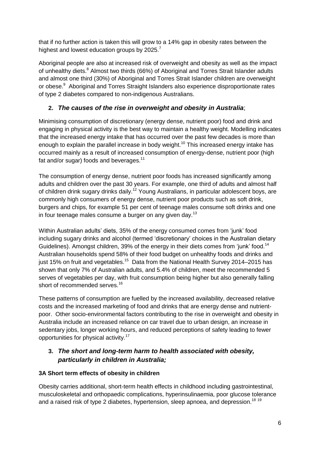that if no further action is taken this will grow to a 14% gap in obesity rates between the highest and lowest education groups by 2025.<sup>7</sup>

Aboriginal people are also at increased risk of overweight and obesity as well as the impact of unhealthy diets.<sup>8</sup> Almost two thirds (66%) of Aboriginal and Torres Strait Islander adults and almost one third (30%) of Aboriginal and Torres Strait Islander children are overweight or obese.<sup>9</sup> Aboriginal and Torres Straight Islanders also experience disproportionate rates of type 2 diabetes compared to non-indigenous Australians.

## **2.** *The causes of the rise in overweight and obesity in Australia*;

Minimising consumption of discretionary (energy dense, nutrient poor) food and drink and engaging in physical activity is the best way to maintain a healthy weight. Modelling indicates that the increased energy intake that has occurred over the past few decades is more than enough to explain the parallel increase in body weight.<sup>10</sup> This increased energy intake has occurred mainly as a result of increased consumption of energy-dense, nutrient poor (high fat and/or sugar) foods and beverages. $11$ 

The consumption of energy dense, nutrient poor foods has increased significantly among adults and children over the past 30 years. For example, one third of adults and almost half of children drink sugary drinks daily.<sup>12</sup> Young Australians, in particular adolescent boys, are commonly high consumers of energy dense, nutrient poor products such as soft drink, burgers and chips, for example 51 per cent of teenage males consume soft drinks and one in four teenage males consume a burger on any given day.<sup>13</sup>

Within Australian adults' diets, 35% of the energy consumed comes from 'junk' food including sugary drinks and alcohol (termed 'discretionary' choices in the Australian dietary Guidelines). Amongst children, 39% of the energy in their diets comes from 'junk' food.<sup>14</sup> Australian households spend 58% of their food budget on unhealthy foods and drinks and just 15% on fruit and vegetables.<sup>15</sup> Data from the National Health Survey 2014–2015 has shown that only 7% of Australian adults, and 5.4% of children, meet the recommended 5 serves of vegetables per day, with fruit consumption being higher but also generally falling short of recommended serves.<sup>16</sup>

These patterns of consumption are fuelled by the increased availability, decreased relative costs and the increased marketing of food and drinks that are energy dense and nutrientpoor. Other socio-environmental factors contributing to the rise in overweight and obesity in Australia include an increased reliance on car travel due to urban design, an increase in sedentary jobs, longer working hours, and reduced perceptions of safety leading to fewer opportunities for physical activity.<sup>17</sup>

## **3.** *The short and long-term harm to health associated with obesity, particularly in children in Australia;*

#### **3A Short term effects of obesity in children**

Obesity carries additional, short-term health effects in childhood including gastrointestinal, musculoskeletal and orthopaedic complications, hyperinsulinaemia, poor glucose tolerance and a raised risk of type 2 diabetes, hypertension, sleep apnoea, and depression.<sup>18 19</sup>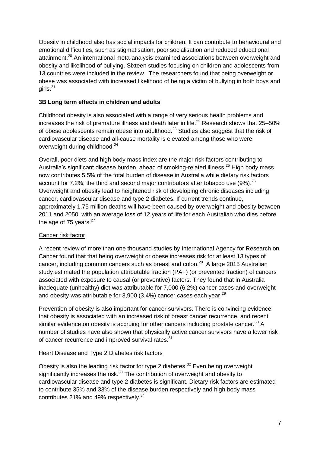Obesity in childhood also has social impacts for children. It can contribute to behavioural and emotional difficulties, such as stigmatisation, poor socialisation and reduced educational attainment.<sup>20</sup> An international meta-analysis examined associations between overweight and obesity and likelihood of bullying. Sixteen studies focusing on children and adolescents from 13 countries were included in the review. The researchers found that being overweight or obese was associated with increased likelihood of being a victim of bullying in both boys and  $airls.$ <sup>21</sup>

#### **3B Long term effects in children and adults**

Childhood obesity is also associated with a range of very serious health problems and increases the risk of premature illness and death later in life.<sup>22</sup> Research shows that 25–50% of obese adolescents remain obese into adulthood.<sup>23</sup> Studies also suggest that the risk of cardiovascular disease and all-cause mortality is elevated among those who were overweight during childhood.<sup>24</sup>

Overall, poor diets and high body mass index are the major risk factors contributing to Australia's significant disease burden, ahead of smoking-related illness.<sup>25</sup> High body mass now contributes 5.5% of the total burden of disease in Australia while dietary risk factors account for 7.2%, the third and second major contributors after tobacco use (9%).  $^{26}$ Overweight and obesity lead to heightened risk of developing chronic diseases including cancer, cardiovascular disease and type 2 diabetes. If current trends continue, approximately 1.75 million deaths will have been caused by overweight and obesity between 2011 and 2050, with an average loss of 12 years of life for each Australian who dies before the age of 75 years. $27$ 

#### Cancer risk factor

A recent review of more than one thousand studies by International Agency for Research on Cancer found that that being overweight or obese increases risk for at least 13 types of cancer, including common cancers such as breast and colon.<sup>28</sup> A large 2015 Australian study estimated the population attributable fraction (PAF) (or prevented fraction) of cancers associated with exposure to causal (or preventive) factors. They found that in Australia inadequate (unhealthy) diet was attributable for 7,000 (6.2%) cancer cases and overweight and obesity was attributable for 3,900 (3.4%) cancer cases each year.<sup>29</sup>

Prevention of obesity is also important for cancer survivors. There is convincing evidence that obesity is associated with an increased risk of breast cancer recurrence, and recent similar evidence on obesity is accruing for other cancers including prostate cancer.<sup>30</sup> A number of studies have also shown that physically active cancer survivors have a lower risk of cancer recurrence and improved survival rates.<sup>31</sup>

#### Heart Disease and Type 2 Diabetes risk factors

Obesity is also the leading risk factor for type 2 diabetes.<sup>32</sup> Even being overweight significantly increases the risk. $33$  The contribution of overweight and obesity to cardiovascular disease and type 2 diabetes is significant. Dietary risk factors are estimated to contribute 35% and 33% of the disease burden respectively and high body mass contributes 21% and 49% respectively.<sup>34</sup>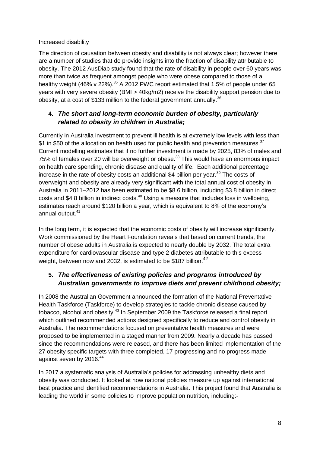#### Increased disability

The direction of causation between obesity and disability is not always clear; however there are a number of studies that do provide insights into the fraction of disability attributable to obesity. The 2012 AusDiab study found that the rate of disability in people over 60 years was more than twice as frequent amongst people who were obese compared to those of a healthy weight (46% v 22%).<sup>35</sup> A 2012 PWC report estimated that 1.5% of people under 65 years with very severe obesity (BMI > 40kg/m2) receive the disability support pension due to obesity, at a cost of \$133 million to the federal government annually. $36$ 

## **4.** *The short and long-term economic burden of obesity, particularly related to obesity in children in Australia;*

Currently in Australia investment to prevent ill health is at extremely low levels with less than \$1 in \$50 of the allocation on health used for public health and prevention measures.<sup>37</sup> Current modelling estimates that if no further investment is made by 2025, 83% of males and 75% of females over 20 will be overweight or obese.<sup>38</sup> This would have an enormous impact on health care spending, chronic disease and quality of life. Each additional percentage increase in the rate of obesity costs an additional \$4 billion per year*.* <sup>39</sup> The costs of overweight and obesity are already very significant with the total annual cost of obesity in Australia in 2011–2012 has been estimated to be \$8.6 billion, including \$3.8 billion in direct costs and \$4.8 billion in indirect costs. $40$  Using a measure that includes loss in wellbeing, estimates reach around \$120 billion a year, which is equivalent to 8% of the economy's annual output.<sup>41</sup>

In the long term, it is expected that the economic costs of obesity will increase significantly. Work commissioned by the Heart Foundation reveals that based on current trends, the number of obese adults in Australia is expected to nearly double by 2032. The total extra expenditure for cardiovascular disease and type 2 diabetes attributable to this excess weight, between now and 2032, is estimated to be \$187 billion.<sup>42</sup>

## **5.** *The effectiveness of existing policies and programs introduced by Australian governments to improve diets and prevent childhood obesity;*

In 2008 the Australian Government announced the formation of the National Preventative Health Taskforce (Taskforce) to develop strategies to tackle chronic disease caused by tobacco, alcohol and obesity.<sup>43</sup> In September 2009 the Taskforce released a final report which outlined recommended actions designed specifically to reduce and control obesity in Australia. The recommendations focused on preventative health measures and were proposed to be implemented in a staged manner from 2009. Nearly a decade has passed since the recommendations were released, and there has been limited implementation of the 27 obesity specific targets with three completed, 17 progressing and no progress made against seven by 2016.<sup>44</sup>

In 2017 a systematic analysis of Australia's policies for addressing unhealthy diets and obesity was conducted. It looked at how national policies measure up against international best practice and identified recommendations in Australia. This project found that Australia is leading the world in some policies to improve population nutrition, including:-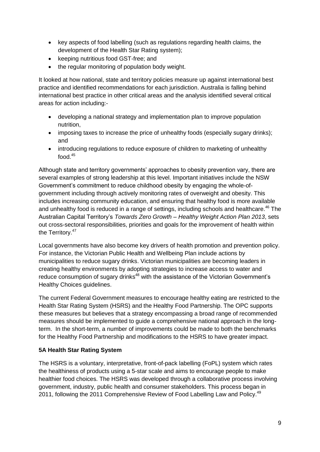- key aspects of food labelling (such as regulations regarding health claims, the development of the Health Star Rating system);
- keeping nutritious food GST-free; and
- the regular monitoring of population body weight.

It looked at how national, state and territory policies measure up against international best practice and identified recommendations for each jurisdiction. Australia is falling behind international best practice in other critical areas and the analysis identified several critical areas for action including:-

- developing a national strategy and implementation plan to improve population nutrition,
- imposing taxes to increase the price of unhealthy foods (especially sugary drinks); and
- introducing regulations to reduce exposure of children to marketing of unhealthy food  $45$

Although state and territory governments' approaches to obesity prevention vary, there are several examples of strong leadership at this level. Important initiatives include the NSW Government's commitment to reduce childhood obesity by engaging the whole-ofgovernment including through actively monitoring rates of overweight and obesity. This includes increasing community education, and ensuring that healthy food is more available and unhealthy food is reduced in a range of settings, including schools and healthcare.<sup>46</sup> The Australian Capital Territory's *Towards Zero Growth – Healthy Weight Action Plan 2013*, sets out cross-sectoral responsibilities, priorities and goals for the improvement of health within the Territory.<sup>47</sup>

Local governments have also become key drivers of health promotion and prevention policy. For instance, the Victorian Public Health and Wellbeing Plan include actions by municipalities to reduce sugary drinks. Victorian municipalities are becoming leaders in creating healthy environments by adopting strategies to increase access to water and reduce consumption of sugary drinks<sup>48</sup> with the assistance of the Victorian Government's Healthy Choices guidelines.

The current Federal Government measures to encourage healthy eating are restricted to the Health Star Rating System (HSRS) and the Healthy Food Partnership. The OPC supports these measures but believes that a strategy encompassing a broad range of recommended measures should be implemented to guide a comprehensive national approach in the longterm. In the short-term, a number of improvements could be made to both the benchmarks for the Healthy Food Partnership and modifications to the HSRS to have greater impact.

#### **5A Health Star Rating System**

The HSRS is a voluntary, interpretative, front-of-pack labelling (FoPL) system which rates the healthiness of products using a 5-star scale and aims to encourage people to make healthier food choices. The HSRS was developed through a collaborative process involving government, industry, public health and consumer stakeholders. This process began in 2011, following the 2011 Comprehensive Review of Food Labelling Law and Policy.<sup>49</sup>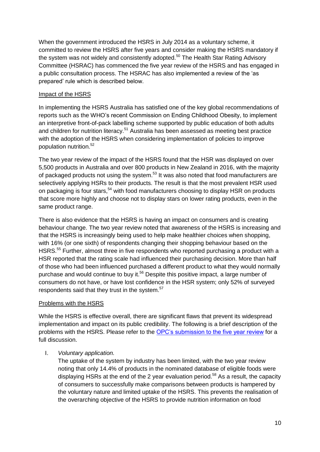When the government introduced the HSRS in July 2014 as a voluntary scheme, it committed to review the HSRS after five years and consider making the HSRS mandatory if the system was not widely and consistently adopted.<sup>50</sup> The Health Star Rating Advisory Committee (HSRAC) has commenced the five year review of the HSRS and has engaged in a public consultation process. The HSRAC has also implemented a review of the 'as prepared' rule which is described below.

#### Impact of the HSRS

In implementing the HSRS Australia has satisfied one of the key global recommendations of reports such as the WHO's recent Commission on Ending Childhood Obesity, to implement an interpretive front-of-pack labelling scheme supported by public education of both adults and children for nutrition literacy.<sup>51</sup> Australia has been assessed as meeting best practice with the adoption of the HSRS when considering implementation of policies to improve population nutrition.<sup>52</sup>

The two year review of the impact of the HSRS found that the HSR was displayed on over 5,500 products in Australia and over 800 products in New Zealand in 2016, with the majority of packaged products not using the system.<sup>53</sup> It was also noted that food manufacturers are selectively applying HSRs to their products. The result is that the most prevalent HSR used on packaging is four stars,<sup>54</sup> with food manufacturers choosing to display HSR on products that score more highly and choose not to display stars on lower rating products, even in the same product range.

There is also evidence that the HSRS is having an impact on consumers and is creating behaviour change. The two year review noted that awareness of the HSRS is increasing and that the HSRS is increasingly being used to help make healthier choices when shopping, with 16% (or one sixth) of respondents changing their shopping behaviour based on the HSRS.<sup>55</sup> Further, almost three in five respondents who reported purchasing a product with a HSR reported that the rating scale had influenced their purchasing decision. More than half of those who had been influenced purchased a different product to what they would normally purchase and would continue to buy it.<sup>56</sup> Despite this positive impact, a large number of consumers do not have, or have lost confidence in the HSR system; only 52% of surveyed respondents said that they trust in the system.<sup>57</sup>

#### Problems with the HSRS

While the HSRS is effective overall, there are significant flaws that prevent its widespread implementation and impact on its public credibility. The following is a brief description of the problems with the HSRS. Please refer to the [OPC's submission to the five year review](http://www.opc.org.au/downloads/submissions/5-year-review-health-star-rating-system.pdf) for a full discussion.

#### I. *Voluntary application.*

The uptake of the system by industry has been limited, with the two year review noting that only 14.4% of products in the nominated database of eligible foods were displaying HSRs at the end of the 2 year evaluation period.<sup>58</sup> As a result, the capacity of consumers to successfully make comparisons between products is hampered by the voluntary nature and limited uptake of the HSRS. This prevents the realisation of the overarching objective of the HSRS to provide nutrition information on food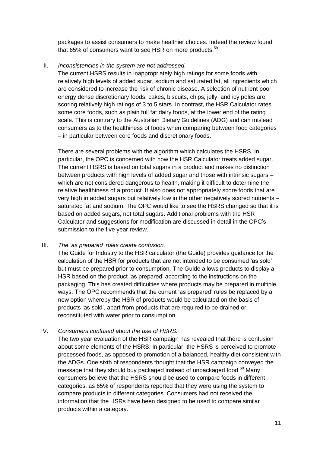packages to assist consumers to make healthier choices. Indeed the review found that 65% of consumers want to see HSR on more products.<sup>59</sup>

#### II. *Inconsistencies in the system are not addressed.*

The current HSRS results in inappropriately high ratings for some foods with relatively high levels of added sugar, sodium and saturated fat, all ingredients which are considered to increase the risk of chronic disease. A selection of nutrient poor, energy dense discretionary foods: cakes, biscuits, chips, jelly, and icy poles are scoring relatively high ratings of 3 to 5 stars. In contrast, the HSR Calculator rates some core foods, such as plain full fat dairy foods, at the lower end of the rating scale. This is contrary to the Australian Dietary Guidelines (ADG) and can mislead consumers as to the healthiness of foods when comparing between food categories – in particular between core foods and discretionary foods.

There are several problems with the algorithm which calculates the HSRS. In particular, the OPC is concerned with how the HSR Calculator treats added sugar. The current HSRS is based on total sugars in a product and makes no distinction between products with high levels of added sugar and those with intrinsic sugars – which are not considered dangerous to health, making it difficult to determine the relative healthiness of a product. It also does not appropriately score foods that are very high in added sugars but relatively low in the other negatively scored nutrients – saturated fat and sodium. The OPC would like to see the HSRS changed so that it is based on added sugars, not total sugars. Additional problems with the HSR Calculator and suggestions for modification are discussed in detail in the OPC's submission to the five year review.

#### III. *The 'as prepared' rules create confusion.*

The Guide for Industry to the HSR calculator (the Guide) provides guidance for the calculation of the HSR for products that are not intended to be consumed 'as sold' but must be prepared prior to consumption. The Guide allows products to display a HSR based on the product 'as prepared' according to the instructions on the packaging. This has created difficulties where products may be prepared in multiple ways. The OPC recommends that the current 'as prepared' rules be replaced by a new option whereby the HSR of products would be calculated on the basis of products 'as sold', apart from products that are required to be drained or reconstituted with water prior to consumption.

#### IV. *Consumers confused about the use of HSRS.*

The two year evaluation of the HSR campaign has revealed that there is confusion about some elements of the HSRS. In particular, the HSRS is perceived to promote processed foods, as opposed to promotion of a balanced, healthy diet consistent with the ADGs. One sixth of respondents thought that the HSR campaign conveyed the message that they should buy packaged instead of unpackaged food.<sup>60</sup> Many consumers believe that the HSRS should be used to compare foods in different categories, as 65% of respondents reported that they were using the system to compare products in different categories. Consumers had not received the information that the HSRs have been designed to be used to compare similar products within a category.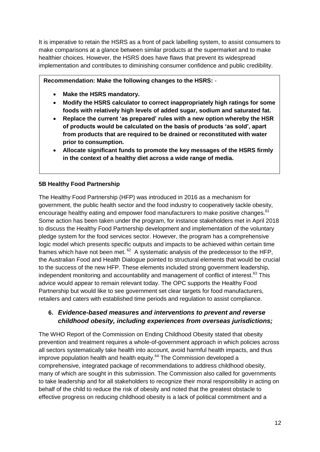It is imperative to retain the HSRS as a front of pack labelling system, to assist consumers to make comparisons at a glance between similar products at the supermarket and to make healthier choices. However, the HSRS does have flaws that prevent its widespread implementation and contributes to diminishing consumer confidence and public credibility.

**Recommendation: Make the following changes to the HSRS:** -

- **Make the HSRS mandatory.**
- **Modify the HSRS calculator to correct inappropriately high ratings for some foods with relatively high levels of added sugar, sodium and saturated fat.**
- **Replace the current 'as prepared' rules with a new option whereby the HSR of products would be calculated on the basis of products 'as sold', apart from products that are required to be drained or reconstituted with water prior to consumption.**
- **Allocate significant funds to promote the key messages of the HSRS firmly in the context of a healthy diet across a wide range of media.**

#### **5B Healthy Food Partnership**

The Healthy Food Partnership (HFP) was introduced in 2016 as a mechanism for government, the public health sector and the food industry to cooperatively tackle obesity, encourage healthy eating and empower food manufacturers to make positive changes.<sup>61</sup> Some action has been taken under the program, for instance stakeholders met in April 2018 to discuss the Healthy Food Partnership development and implementation of the voluntary pledge system for the food services sector. However, the program has a comprehensive logic model which presents specific outputs and impacts to be achieved within certain time frames which have not been met.  $62$  A systematic analysis of the predecessor to the HFP, the Australian Food and Health Dialogue pointed to structural elements that would be crucial to the success of the new HFP. These elements included strong government leadership, independent monitoring and accountability and management of conflict of interest. $^{63}$  This advice would appear to remain relevant today. The OPC supports the Healthy Food Partnership but would like to see government set clear targets for food manufacturers, retailers and caters with established time periods and regulation to assist compliance.

### **6.** *Evidence-based measures and interventions to prevent and reverse childhood obesity, including experiences from overseas jurisdictions;*

The WHO Report of the Commission on Ending Childhood Obesity stated that obesity prevention and treatment requires a whole-of-government approach in which policies across all sectors systematically take health into account, avoid harmful health impacts, and thus improve population health and health equity. $64$  The Commission developed a comprehensive, integrated package of recommendations to address childhood obesity, many of which are sought in this submission. The Commission also called for governments to take leadership and for all stakeholders to recognize their moral responsibility in acting on behalf of the child to reduce the risk of obesity and noted that the greatest obstacle to effective progress on reducing childhood obesity is a lack of political commitment and a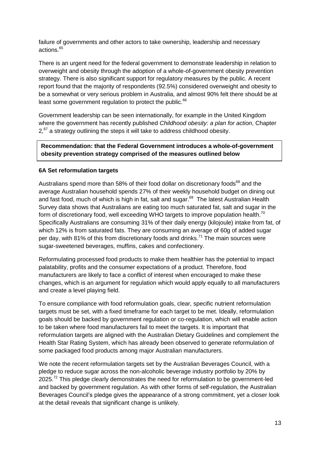failure of governments and other actors to take ownership, leadership and necessary actions.<sup>65</sup>

There is an urgent need for the federal government to demonstrate leadership in relation to overweight and obesity through the adoption of a whole-of-government obesity prevention strategy. There is also significant support for regulatory measures by the public. A recent report found that the majority of respondents (92.5%) considered overweight and obesity to be a somewhat or very serious problem in Australia, and almost 90% felt there should be at least some government regulation to protect the public.<sup>66</sup>

Government leadership can be seen internationally, for example in the United Kingdom where the government has recently published *Childhood obesity: a plan for action*, Chapter 2,<sup>67</sup> a strategy outlining the steps it will take to address childhood obesity.

#### **Recommendation: that the Federal Government introduces a whole-of-government obesity prevention strategy comprised of the measures outlined below**

#### **6A Set reformulation targets**

Australians spend more than 58% of their food dollar on discretionary foods<sup>68</sup> and the average Australian household spends 27% of their weekly household budget on dining out and fast food, much of which is high in fat, salt and sugar.<sup>69</sup> The latest Australian Health Survey data shows that Australians are eating too much saturated fat, salt and sugar in the form of discretionary food, well exceeding WHO targets to improve population health.<sup>70</sup> Specifically Australians are consuming 31% of their daily energy (kilojoule) intake from fat, of which 12% is from saturated fats. They are consuming an average of 60g of added sugar per day, with 81% of this from discretionary foods and drinks.<sup>71</sup> The main sources were sugar-sweetened beverages, muffins, cakes and confectionery.

Reformulating processed food products to make them healthier has the potential to impact palatability, profits and the consumer expectations of a product. Therefore, food manufacturers are likely to face a conflict of interest when encouraged to make these changes, which is an argument for regulation which would apply equally to all manufacturers and create a level playing field.

To ensure compliance with food reformulation goals, clear, specific nutrient reformulation targets must be set, with a fixed timeframe for each target to be met. Ideally, reformulation goals should be backed by government regulation or co-regulation, which will enable action to be taken where food manufacturers fail to meet the targets. It is important that reformulation targets are aligned with the Australian Dietary Guidelines and complement the Health Star Rating System, which has already been observed to generate reformulation of some packaged food products among major Australian manufacturers.

We note the recent reformulation targets set by the Australian Beverages Council, with a pledge to reduce sugar across the non-alcoholic beverage industry portfolio by 20% by 2025.<sup>72</sup> This pledge clearly demonstrates the need for reformulation to be government-led and backed by government regulation. As with other forms of self-regulation, the Australian Beverages Council's pledge gives the appearance of a strong commitment, yet a closer look at the detail reveals that significant change is unlikely.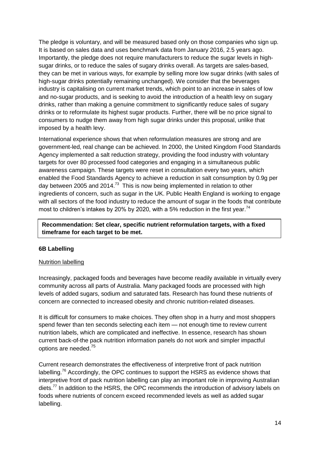The pledge is voluntary, and will be measured based only on those companies who sign up. It is based on sales data and uses benchmark data from January 2016, 2.5 years ago. Importantly, the pledge does not require manufacturers to reduce the sugar levels in highsugar drinks, or to reduce the sales of sugary drinks overall. As targets are sales-based, they can be met in various ways, for example by selling more low sugar drinks (with sales of high-sugar drinks potentially remaining unchanged). We consider that the beverages industry is capitalising on current market trends, which point to an increase in sales of low and no-sugar products, and is seeking to avoid the introduction of a health levy on sugary drinks, rather than making a genuine commitment to significantly reduce sales of sugary drinks or to reformulate its highest sugar products. Further, there will be no price signal to consumers to nudge them away from high sugar drinks under this proposal, unlike that imposed by a health levy.

International experience shows that when reformulation measures are strong and are government-led, real change can be achieved. In 2000, the United Kingdom Food Standards Agency implemented a salt reduction strategy, providing the food industry with voluntary targets for over 80 processed food categories and engaging in a simultaneous public awareness campaign. These targets were reset in consultation every two years, which enabled the Food Standards Agency to achieve a reduction in salt consumption by 0.9g per day between 2005 and 2014.<sup>73</sup> This is now being implemented in relation to other ingredients of concern, such as sugar in the UK. Public Health England is working to engage with all sectors of the food industry to reduce the amount of sugar in the foods that contribute most to children's intakes by 20% by 2020, with a 5% reduction in the first year.<sup>74</sup>

#### **Recommendation: Set clear, specific nutrient reformulation targets, with a fixed timeframe for each target to be met.**

#### **6B Labelling**

#### Nutrition labelling

Increasingly, packaged foods and beverages have become readily available in virtually every community across all parts of Australia. Many packaged foods are processed with high levels of added sugars, sodium and saturated fats. Research has found these nutrients of concern are connected to increased obesity and chronic nutrition-related diseases.

It is difficult for consumers to make choices. They often shop in a hurry and most shoppers spend fewer than ten seconds selecting each item — not enough time to review current nutrition labels, which are complicated and ineffective. In essence, research has shown current back-of-the pack nutrition information panels do not work and simpler impactful options are needed.<sup>75</sup>

Current research demonstrates the effectiveness of interpretive front of pack nutrition labelling.<sup>76</sup> Accordingly, the OPC continues to support the HSRS as evidence shows that interpretive front of pack nutrition labelling can play an important role in improving Australian diets.<sup>77</sup> In addition to the HSRS, the OPC recommends the introduction of advisory labels on foods where nutrients of concern exceed recommended levels as well as added sugar labelling.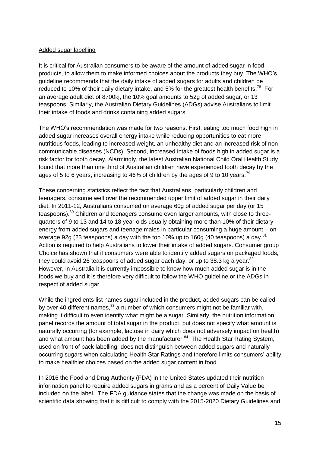#### Added sugar labelling

It is critical for Australian consumers to be aware of the amount of added sugar in food products, to allow them to make informed choices about the products they buy. The WHO's guideline recommends that the daily intake of added sugars for adults and children be reduced to 10% of their daily dietary intake, and 5% for the greatest health benefits.<sup>78</sup> For an average adult diet of 8700kj, the 10% goal amounts to 52g of added sugar, or 13 teaspoons. Similarly, the Australian Dietary Guidelines (ADGs) advise Australians to limit their intake of foods and drinks containing added sugars.

The WHO's recommendation was made for two reasons. First, eating too much food high in added sugar increases overall energy intake while reducing opportunities to eat more nutritious foods, leading to increased weight, an unhealthy diet and an increased risk of noncommunicable diseases (NCDs). Second, increased intake of foods high in added sugar is a risk factor for tooth decay. Alarmingly, the latest Australian National Child Oral Health Study found that more than one third of Australian children have experienced tooth decay by the ages of 5 to 6 years, increasing to 46% of children by the ages of 9 to 10 years.<sup>79</sup>

These concerning statistics reflect the fact that Australians, particularly children and teenagers, consume well over the recommended upper limit of added sugar in their daily diet. In 2011-12, Australians consumed on average 60g of added sugar per day (or 15 teaspoons).<sup>80</sup> Children and teenagers consume even larger amounts, with close to threequarters of 9 to 13 and 14 to 18 year olds usually obtaining more than 10% of their dietary energy from added sugars and teenage males in particular consuming a huge amount – on average 92g (23 teaspoons) a day with the top 10% up to 160g (40 teaspoons) a day. $81$ Action is required to help Australians to lower their intake of added sugars. Consumer group Choice has shown that if consumers were able to identify added sugars on packaged foods, they could avoid 26 teaspoons of added sugar each day, or up to 38.3 kg a year. $82$ However, in Australia it is currently impossible to know how much added sugar is in the foods we buy and it is therefore very difficult to follow the WHO guideline or the ADGs in respect of added sugar.

While the ingredients list names sugar included in the product, added sugars can be called by over 40 different names,<sup>83</sup> a number of which consumers might not be familiar with, making it difficult to even identify what might be a sugar. Similarly, the nutrition information panel records the amount of total sugar in the product, but does not specify what amount is naturally occurring (for example, lactose in dairy which does not adversely impact on health) and what amount has been added by the manufacturer.<sup>84</sup> The Health Star Rating System, used on front of pack labelling, does not distinguish between added sugars and naturally occurring sugars when calculating Health Star Ratings and therefore limits consumers' ability to make healthier choices based on the added sugar content in food.

In 2016 the Food and Drug Authority (FDA) in the United States updated their nutrition information panel to require added sugars in grams and as a percent of Daily Value be included on the label. The FDA guidance states that the change was made on the basis of scientific data showing that it is difficult to comply with the 2015-2020 Dietary Guidelines and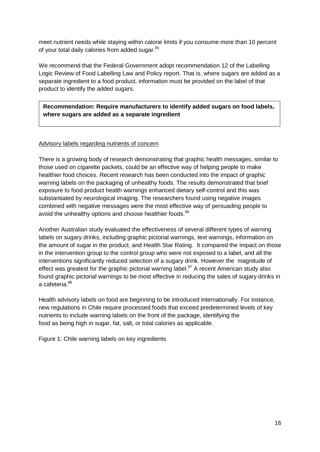meet nutrient needs while staying within calorie limits if you consume more than 10 percent of your total daily calories from added sugar.<sup>85</sup>

We recommend that the Federal Government adopt recommendation 12 of the Labelling Logic Review of Food Labelling Law and Policy report. That is, where sugars are added as a separate ingredient to a food product, information must be provided on the label of that product to identify the added sugars.

**Recommendation: Require manufacturers to identify added sugars on food labels, where sugars are added as a separate ingredient** 

#### Advisory labels regarding nutrients of concern

There is a growing body of research demonstrating that graphic health messages, similar to those used on cigarette packets, could be an effective way of helping people to make healthier food choices. Recent research has been conducted into the impact of graphic warning labels on the packaging of unhealthy foods. The results demonstrated that brief exposure to food product health warnings enhanced dietary self-control and this was substantiated by neurological imaging. The researchers found using negative images combined with negative messages were the most effective way of persuading people to avoid the unhealthy options and choose healthier foods.<sup>86</sup>

Another Australian study evaluated the effectiveness of several different types of warning labels on sugary drinks, including graphic pictorial warnings, text warnings, information on the amount of sugar in the product, and Health Star Rating. It compared the impact on those in the intervention group to the control group who were not exposed to a label, and all the interventions significantly reduced selection of a sugary drink. However the magnitude of effect was greatest for the graphic pictorial warning label. $87$  A recent American study also found graphic pictorial warnings to be most effective in reducing the sales of sugary drinks in a cafeteria.<sup>88</sup>

Health advisory labels on food are beginning to be introduced internationally. For instance, new regulations in Chile require processed foods that exceed predetermined levels of key nutrients to include warning labels on the front of the package, identifying the food as being high in sugar, fat, salt, or total calories as applicable.

Figure 1: Chile warning labels on key ingredients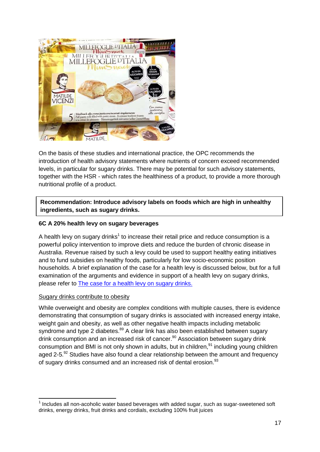

On the basis of these studies and international practice, the OPC recommends the introduction of health advisory statements where nutrients of concern exceed recommended levels, in particular for sugary drinks. There may be potential for such advisory statements, together with the HSR - which rates the healthiness of a product, to provide a more thorough nutritional profile of a product.

#### **Recommendation: Introduce advisory labels on foods which are high in unhealthy ingredients, such as sugary drinks.**

#### **6C A 20% health levy on sugary beverages**

A health levy on sugary drinks<sup>1</sup> to increase their retail price and reduce consumption is a powerful policy intervention to improve diets and reduce the burden of chronic disease in Australia. Revenue raised by such a levy could be used to support healthy eating initiatives and to fund subsidies on healthy foods, particularly for low socio-economic position households. A brief explanation of the case for a health levy is discussed below, but for a full examination of the arguments and evidence in support of a health levy on sugary drinks, please refer to [The case for a health levy on sugary drinks.](http://www.opc.org.au/downloads/policy-briefs/the-case-for-australian-tax-sugar-sweetened-beverages.pdf)

#### Sugary drinks contribute to obesity

-

While overweight and obesity are complex conditions with multiple causes, there is evidence demonstrating that consumption of sugary drinks is associated with increased energy intake, weight gain and obesity, as well as other negative health impacts including metabolic syndrome and type 2 diabetes.<sup>89</sup> A clear link has also been established between sugary drink consumption and an increased risk of cancer.<sup>90</sup> Association between sugary drink consumption and BMI is not only shown in adults, but in children, $91$  including young children aged 2-5. $^{92}$  Studies have also found a clear relationship between the amount and frequency of sugary drinks consumed and an increased risk of dental erosion.<sup>93</sup>

 $1$  Includes all non-acoholic water based beverages with added sugar, such as sugar-sweetened soft drinks, energy drinks, fruit drinks and cordials, excluding 100% fruit juices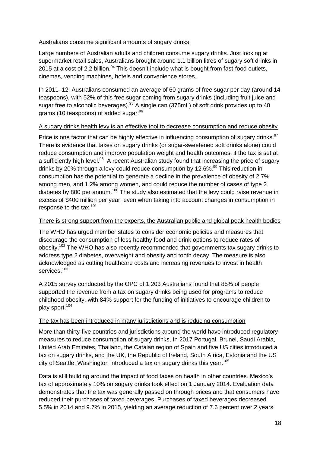#### Australians consume significant amounts of sugary drinks

Large numbers of Australian adults and children consume sugary drinks. Just looking at supermarket retail sales, Australians brought around 1.1 billion litres of sugary soft drinks in 2015 at a cost of 2.2 billion.  $94$  This doesn't include what is bought from fast-food outlets, cinemas, vending machines, hotels and convenience stores.

In 2011–12, Australians consumed an average of 60 grams of free sugar per day (around 14 teaspoons), with 52% of this free sugar coming from sugary drinks (including fruit juice and sugar free to alcoholic beverages).  $95$  A single can (375mL) of soft drink provides up to 40 grams (10 teaspoons) of added sugar.<sup>96</sup>

#### A sugary drinks health levy is an effective tool to decrease consumption and reduce obesity

Price is one factor that can be highly effective in influencing consumption of sugary drinks.<sup>97</sup> There is evidence that taxes on sugary drinks (or sugar-sweetened soft drinks alone) could reduce consumption and improve population weight and health outcomes, if the tax is set at a sufficiently high level.<sup>98</sup> A recent Australian study found that increasing the price of sugary drinks by 20% through a levy could reduce consumption by 12.6%.<sup>99</sup> This reduction in consumption has the potential to generate a decline in the prevalence of obesity of 2.7% among men, and 1.2% among women, and could reduce the number of cases of type 2 diabetes by 800 per annum.<sup>100</sup> The study also estimated that the levy could raise revenue in excess of \$400 million per year, even when taking into account changes in consumption in response to the tax.<sup>101</sup>

#### There is strong support from the experts, the Australian public and global peak health bodies

The WHO has urged member states to consider economic policies and measures that discourage the consumption of less healthy food and drink options to reduce rates of obesity.<sup>102</sup> The WHO has also recently recommended that governments tax sugary drinks to address type 2 diabetes, overweight and obesity and tooth decay. The measure is also acknowledged as cutting healthcare costs and increasing revenues to invest in health services.<sup>103</sup>

A 2015 survey conducted by the OPC of 1,203 Australians found that 85% of people supported the revenue from a tax on sugary drinks being used for programs to reduce childhood obesity, with 84% support for the funding of initiatives to encourage children to play sport.<sup>104</sup>

#### The tax has been introduced in many jurisdictions and is reducing consumption

More than thirty-five countries and jurisdictions around the world have introduced regulatory measures to reduce consumption of sugary drinks, In 2017 Portugal, Brunei, Saudi Arabia, United Arab Emirates, Thailand, the Catalan region of Spain and five US cities introduced a tax on sugary drinks, and the UK, the Republic of Ireland, South Africa, Estonia and the US city of Seattle, Washington introduced a tax on sugary drinks this year. 105

Data is still building around the impact of food taxes on health in other countries. Mexico's tax of approximately 10% on sugary drinks took effect on 1 January 2014. Evaluation data demonstrates that the tax was generally passed on through prices and that consumers have reduced their purchases of taxed beverages. Purchases of taxed beverages decreased 5.5% in 2014 and 9.7% in 2015, yielding an average reduction of 7.6 percent over 2 years.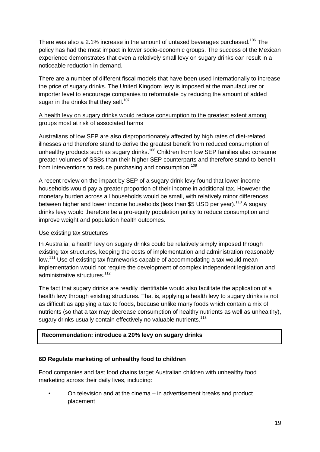There was also a 2.1% increase in the amount of untaxed beverages purchased.<sup>106</sup> The policy has had the most impact in lower socio-economic groups. The success of the Mexican experience demonstrates that even a relatively small levy on sugary drinks can result in a noticeable reduction in demand.

There are a number of different fiscal models that have been used internationally to increase the price of sugary drinks. The United Kingdom levy is imposed at the manufacturer or importer level to encourage companies to reformulate by reducing the amount of added sugar in the drinks that they sell.<sup>107</sup>

#### A health levy on sugary drinks would reduce consumption to the greatest extent among groups most at risk of associated harms

Australians of low SEP are also disproportionately affected by high rates of diet-related illnesses and therefore stand to derive the greatest benefit from reduced consumption of unhealthy products such as sugary drinks.<sup>108</sup> Children from low SEP families also consume greater volumes of SSBs than their higher SEP counterparts and therefore stand to benefit from interventions to reduce purchasing and consumption.<sup>109</sup>

A recent review on the impact by SEP of a sugary drink levy found that lower income households would pay a greater proportion of their income in additional tax. However the monetary burden across all households would be small, with relatively minor differences between higher and lower income households (less than \$5 USD per year).<sup>110</sup> A sugary drinks levy would therefore be a pro-equity population policy to reduce consumption and improve weight and population health outcomes.

#### Use existing tax structures

In Australia, a health levy on sugary drinks could be relatively simply imposed through existing tax structures, keeping the costs of implementation and administration reasonably low.<sup>111</sup> Use of existing tax frameworks capable of accommodating a tax would mean implementation would not require the development of complex independent legislation and administrative structures.<sup>112</sup>

The fact that sugary drinks are readily identifiable would also facilitate the application of a health levy through existing structures. That is, applying a health levy to sugary drinks is not as difficult as applying a tax to foods, because unlike many foods which contain a mix of nutrients (so that a tax may decrease consumption of healthy nutrients as well as unhealthy), sugary drinks usually contain effectively no valuable nutrients.<sup>113</sup>

#### **Recommendation: introduce a 20% levy on sugary drinks**

#### **6D Regulate marketing of unhealthy food to children**

Food companies and fast food chains target Australian children with unhealthy food marketing across their daily lives, including:

• On television and at the cinema – in advertisement breaks and product placement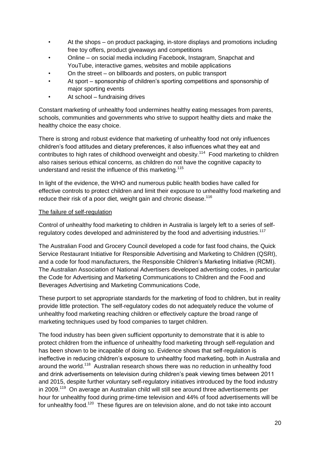- At the shops on product packaging, in-store displays and promotions including free toy offers, product giveaways and competitions
- Online on social media including Facebook, Instagram, Snapchat and YouTube, interactive games, websites and mobile applications
- On the street on billboards and posters, on public transport
- At sport sponsorship of children's sporting competitions and sponsorship of major sporting events
- At school fundraising drives

Constant marketing of unhealthy food undermines healthy eating messages from parents, schools, communities and governments who strive to support healthy diets and make the healthy choice the easy choice.

There is strong and robust evidence that marketing of unhealthy food not only influences children's food attitudes and dietary preferences, it also influences what they eat and contributes to high rates of childhood overweight and obesity.<sup>114</sup> Food marketing to children also raises serious ethical concerns, as children do not have the cognitive capacity to understand and resist the influence of this marketing.<sup>115</sup>

In light of the evidence, the WHO and numerous public health bodies have called for effective controls to protect children and limit their exposure to unhealthy food marketing and reduce their risk of a poor diet, weight gain and chronic disease. $116$ 

#### The failure of self-regulation

Control of unhealthy food marketing to children in Australia is largely left to a series of selfregulatory codes developed and administered by the food and advertising industries.<sup>117</sup>

The Australian Food and Grocery Council developed a code for fast food chains, the Quick Service Restaurant Initiative for Responsible Advertising and Marketing to Children (QSRI), and a code for food manufacturers, the Responsible Children's Marketing Initiative (RCMI). The Australian Association of National Advertisers developed advertising codes, in particular the Code for Advertising and Marketing Communications to Children and the Food and Beverages Advertising and Marketing Communications Code,

These purport to set appropriate standards for the marketing of food to children, but in reality provide little protection. The self-regulatory codes do not adequately reduce the volume of unhealthy food marketing reaching children or effectively capture the broad range of marketing techniques used by food companies to target children.

The food industry has been given sufficient opportunity to demonstrate that it is able to protect children from the influence of unhealthy food marketing through self-regulation and has been shown to be incapable of doing so. Evidence shows that self-regulation is ineffective in reducing children's exposure to unhealthy food marketing, both in Australia and around the world.<sup>118</sup> Australian research shows there was no reduction in unhealthy food and drink advertisements on television during children's peak viewing times between 2011 and 2015, despite further voluntary self-regulatory initiatives introduced by the food industry in 2009.<sup>119</sup> On average an Australian child will still see around three advertisements per hour for unhealthy food during prime-time television and 44% of food advertisements will be for unhealthy food.<sup>120</sup> These figures are on television alone, and do not take into account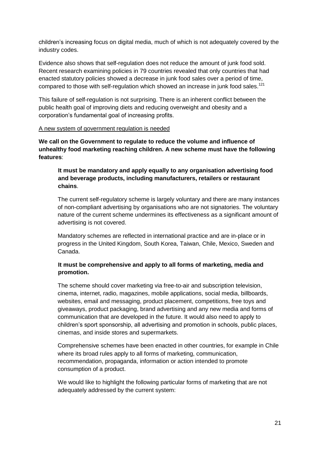children's increasing focus on digital media, much of which is not adequately covered by the industry codes.

Evidence also shows that self-regulation does not reduce the amount of junk food sold. Recent research examining policies in 79 countries revealed that only countries that had enacted statutory policies showed a decrease in junk food sales over a period of time, compared to those with self-regulation which showed an increase in junk food sales.<sup>121</sup>

This failure of self-regulation is not surprising. There is an inherent conflict between the public health goal of improving diets and reducing overweight and obesity and a corporation's fundamental goal of increasing profits.

#### A new system of government regulation is needed

**We call on the Government to regulate to reduce the volume and influence of unhealthy food marketing reaching children. A new scheme must have the following features**:

#### **It must be mandatory and apply equally to any organisation advertising food and beverage products, including manufacturers, retailers or restaurant chains**.

The current self-regulatory scheme is largely voluntary and there are many instances of non-compliant advertising by organisations who are not signatories. The voluntary nature of the current scheme undermines its effectiveness as a significant amount of advertising is not covered.

Mandatory schemes are reflected in international practice and are in-place or in progress in the United Kingdom, South Korea, Taiwan, Chile, Mexico, Sweden and Canada.

#### **It must be comprehensive and apply to all forms of marketing, media and promotion.**

The scheme should cover marketing via free-to-air and subscription television, cinema, internet, radio, magazines, mobile applications, social media, billboards, websites, email and messaging, product placement, competitions, free toys and giveaways, product packaging, brand advertising and any new media and forms of communication that are developed in the future. It would also need to apply to children's sport sponsorship, all advertising and promotion in schools, public places, cinemas, and inside stores and supermarkets.

Comprehensive schemes have been enacted in other countries, for example in Chile where its broad rules apply to all forms of marketing, communication, recommendation, propaganda, information or action intended to promote consumption of a product.

We would like to highlight the following particular forms of marketing that are not adequately addressed by the current system: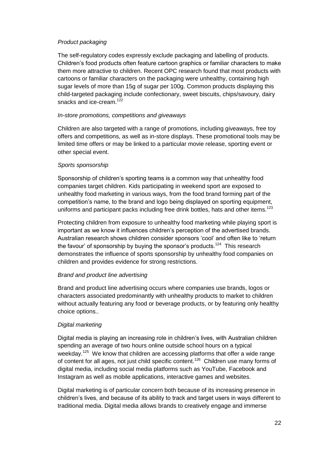#### *Product packaging*

The self-regulatory codes expressly exclude packaging and labelling of products. Children's food products often feature cartoon graphics or familiar characters to make them more attractive to children. Recent OPC research found that most products with cartoons or familiar characters on the packaging were unhealthy, containing high sugar levels of more than 15g of sugar per 100g. Common products displaying this child-targeted packaging include confectionary, sweet biscuits, chips/savoury, dairy snacks and ice-cream.<sup>122</sup>

#### *In-store promotions, competitions and giveaways*

Children are also targeted with a range of promotions, including giveaways, free toy offers and competitions, as well as in-store displays. These promotional tools may be limited time offers or may be linked to a particular movie release, sporting event or other special event.

#### *Sports sponsorship*

Sponsorship of children's sporting teams is a common way that unhealthy food companies target children. Kids participating in weekend sport are exposed to unhealthy food marketing in various ways, from the food brand forming part of the competition's name, to the brand and logo being displayed on sporting equipment, uniforms and participant packs including free drink bottles, hats and other items.<sup>123</sup>

Protecting children from exposure to unhealthy food marketing while playing sport is important as we know it influences children's perception of the advertised brands. Australian research shows children consider sponsors 'cool' and often like to 'return the favour' of sponsorship by buying the sponsor's products.<sup>124</sup> This research demonstrates the influence of sports sponsorship by unhealthy food companies on children and provides evidence for strong restrictions.

#### *Brand and product line advertising*

Brand and product line advertising occurs where companies use brands, logos or characters associated predominantly with unhealthy products to market to children without actually featuring any food or beverage products, or by featuring only healthy choice options..

#### *Digital marketing*

Digital media is playing an increasing role in children's lives, with Australian children spending an average of two hours online outside school hours on a typical weekday.<sup>125</sup> We know that children are accessing platforms that offer a wide range of content for all ages, not just child specific content.<sup>126</sup> Children use many forms of digital media, including social media platforms such as YouTube, Facebook and Instagram as well as mobile applications, interactive games and websites.

Digital marketing is of particular concern both because of its increasing presence in children's lives, and because of its ability to track and target users in ways different to traditional media. Digital media allows brands to creatively engage and immerse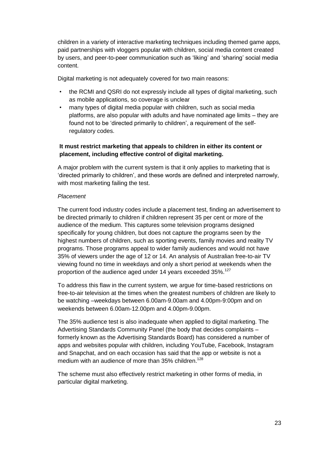children in a variety of interactive marketing techniques including themed game apps, paid partnerships with vloggers popular with children, social media content created by users, and peer-to-peer communication such as 'liking' and 'sharing' social media content.

Digital marketing is not adequately covered for two main reasons:

- the RCMI and QSRI do not expressly include all types of digital marketing, such as mobile applications, so coverage is unclear
- many types of digital media popular with children, such as social media platforms, are also popular with adults and have nominated age limits – they are found not to be 'directed primarily to children', a requirement of the selfregulatory codes.

#### **It must restrict marketing that appeals to children in either its content or placement, including effective control of digital marketing.**

A major problem with the current system is that it only applies to marketing that is 'directed primarily to children', and these words are defined and interpreted narrowly, with most marketing failing the test.

#### *Placement*

The current food industry codes include a placement test, finding an advertisement to be directed primarily to children if children represent 35 per cent or more of the audience of the medium. This captures some television programs designed specifically for young children, but does not capture the programs seen by the highest numbers of children, such as sporting events, family movies and reality TV programs. Those programs appeal to wider family audiences and would not have 35% of viewers under the age of 12 or 14. An analysis of Australian free-to-air TV viewing found no time in weekdays and only a short period at weekends when the proportion of the audience aged under 14 years exceeded 35%.<sup>127</sup>

To address this flaw in the current system, we argue for time-based restrictions on free-to-air television at the times when the greatest numbers of children are likely to be watching –weekdays between 6.00am-9.00am and 4.00pm-9:00pm and on weekends between 6.00am-12.00pm and 4.00pm-9.00pm.

The 35% audience test is also inadequate when applied to digital marketing. The Advertising Standards Community Panel (the body that decides complaints – formerly known as the Advertising Standards Board) has considered a number of apps and websites popular with children, including YouTube, Facebook, Instagram and Snapchat, and on each occasion has said that the app or website is not a medium with an audience of more than 35% children.<sup>128</sup>

The scheme must also effectively restrict marketing in other forms of media, in particular digital marketing.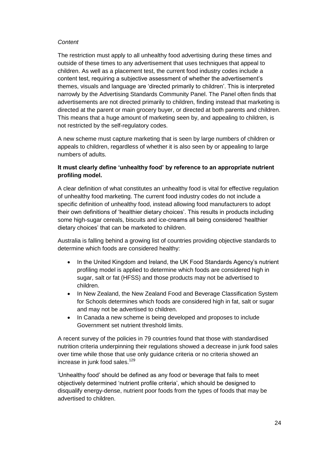#### *Content*

The restriction must apply to all unhealthy food advertising during these times and outside of these times to any advertisement that uses techniques that appeal to children. As well as a placement test, the current food industry codes include a content test, requiring a subjective assessment of whether the advertisement's themes, visuals and language are 'directed primarily to children'. This is interpreted narrowly by the Advertising Standards Community Panel. The Panel often finds that advertisements are not directed primarily to children, finding instead that marketing is directed at the parent or main grocery buyer, or directed at both parents and children. This means that a huge amount of marketing seen by, and appealing to children, is not restricted by the self-regulatory codes.

A new scheme must capture marketing that is seen by large numbers of children or appeals to children, regardless of whether it is also seen by or appealing to large numbers of adults.

#### **It must clearly define 'unhealthy food' by reference to an appropriate nutrient profiling model.**

A clear definition of what constitutes an unhealthy food is vital for effective regulation of unhealthy food marketing. The current food industry codes do not include a specific definition of unhealthy food, instead allowing food manufacturers to adopt their own definitions of 'healthier dietary choices'. This results in products including some high-sugar cereals, biscuits and ice-creams all being considered 'healthier dietary choices' that can be marketed to children.

Australia is falling behind a growing list of countries providing objective standards to determine which foods are considered healthy:

- In the United Kingdom and Ireland, the UK Food Standards Agency's nutrient profiling model is applied to determine which foods are considered high in sugar, salt or fat (HFSS) and those products may not be advertised to children.
- In New Zealand, the New Zealand Food and Beverage Classification System for Schools determines which foods are considered high in fat, salt or sugar and may not be advertised to children.
- In Canada a new scheme is being developed and proposes to include Government set nutrient threshold limits.

A recent survey of the policies in 79 countries found that those with standardised nutrition criteria underpinning their regulations showed a decrease in junk food sales over time while those that use only guidance criteria or no criteria showed an increase in junk food sales.<sup>129</sup>

'Unhealthy food' should be defined as any food or beverage that fails to meet objectively determined 'nutrient profile criteria', which should be designed to disqualify energy-dense, nutrient poor foods from the types of foods that may be advertised to children.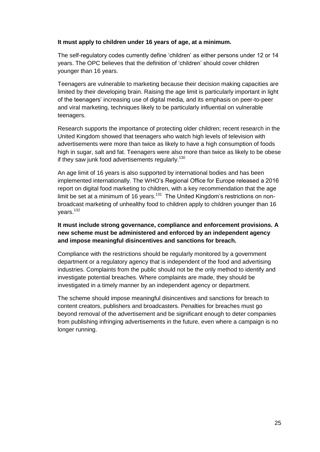#### **It must apply to children under 16 years of age, at a minimum.**

The self-regulatory codes currently define 'children' as either persons under 12 or 14 years. The OPC believes that the definition of 'children' should cover children younger than 16 years.

Teenagers are vulnerable to marketing because their decision making capacities are limited by their developing brain. Raising the age limit is particularly important in light of the teenagers' increasing use of digital media, and its emphasis on peer-to-peer and viral marketing, techniques likely to be particularly influential on vulnerable teenagers.

Research supports the importance of protecting older children; recent research in the United Kingdom showed that teenagers who watch high levels of television with advertisements were more than twice as likely to have a high consumption of foods high in sugar, salt and fat. Teenagers were also more than twice as likely to be obese if they saw junk food advertisements regularly.<sup>130</sup>

An age limit of 16 years is also supported by international bodies and has been implemented internationally. The WHO's Regional Office for Europe released a 2016 report on digital food marketing to children, with a key recommendation that the age limit be set at a minimum of 16 years. $131$  The United Kingdom's restrictions on nonbroadcast marketing of unhealthy food to children apply to children younger than 16 years.<sup>132</sup>

#### **It must include strong governance, compliance and enforcement provisions. A new scheme must be administered and enforced by an independent agency and impose meaningful disincentives and sanctions for breach.**

Compliance with the restrictions should be regularly monitored by a government department or a regulatory agency that is independent of the food and advertising industries. Complaints from the public should not be the only method to identify and investigate potential breaches. Where complaints are made, they should be investigated in a timely manner by an independent agency or department.

The scheme should impose meaningful disincentives and sanctions for breach to content creators, publishers and broadcasters. Penalties for breaches must go beyond removal of the advertisement and be significant enough to deter companies from publishing infringing advertisements in the future, even where a campaign is no longer running.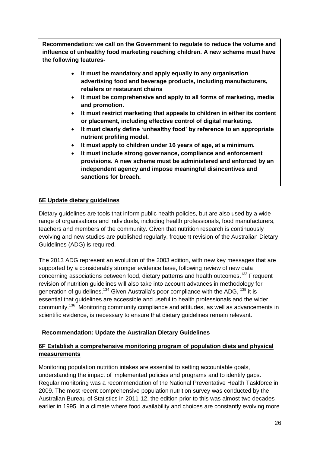**Recommendation: we call on the Government to regulate to reduce the volume and influence of unhealthy food marketing reaching children. A new scheme must have the following features-**

- **It must be mandatory and apply equally to any organisation advertising food and beverage products, including manufacturers, retailers or restaurant chains**
- **It must be comprehensive and apply to all forms of marketing, media and promotion.**
- **It must restrict marketing that appeals to children in either its content or placement, including effective control of digital marketing.**
- **It must clearly define 'unhealthy food' by reference to an appropriate nutrient profiling model.**
- **It must apply to children under 16 years of age, at a minimum.**
- **It must include strong governance, compliance and enforcement provisions. A new scheme must be administered and enforced by an independent agency and impose meaningful disincentives and sanctions for breach.**

#### **6E Update dietary guidelines**

Dietary guidelines are tools that inform public health policies, but are also used by a wide range of organisations and individuals, including health professionals, food manufacturers, teachers and members of the community. Given that nutrition research is continuously evolving and new studies are published regularly, frequent revision of the Australian Dietary Guidelines (ADG) is required.

The 2013 ADG represent an evolution of the 2003 edition, with new key messages that are supported by a considerably stronger evidence base, following review of new data concerning associations between food, dietary patterns and health outcomes.<sup>133</sup> Frequent revision of nutrition guidelines will also take into account advances in methodology for generation of quidelines.<sup>134</sup> Given Australia's poor compliance with the ADG,  $^{135}$  it is essential that guidelines are accessible and useful to health professionals and the wider community.<sup>136</sup> Monitoring community compliance and attitudes, as well as advancements in scientific evidence, is necessary to ensure that dietary guidelines remain relevant.

#### **Recommendation: Update the Australian Dietary Guidelines**

#### **6F Establish a comprehensive monitoring program of population diets and physical measurements**

Monitoring population nutrition intakes are essential to setting accountable goals, understanding the impact of implemented policies and programs and to identify gaps. Regular monitoring was a recommendation of the National Preventative Health Taskforce in 2009. The most recent comprehensive population nutrition survey was conducted by the Australian Bureau of Statistics in 2011-12, the edition prior to this was almost two decades earlier in 1995. In a climate where food availability and choices are constantly evolving more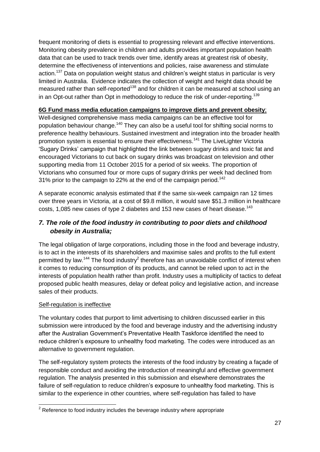frequent monitoring of diets is essential to progressing relevant and effective interventions. Monitoring obesity prevalence in children and adults provides important population health data that can be used to track trends over time, identify areas at greatest risk of obesity, determine the effectiveness of interventions and policies, raise awareness and stimulate action.<sup>137</sup> Data on population weight status and children's weight status in particular is very limited in Australia. Evidence indicates the collection of weight and height data should be measured rather than self-reported<sup>138</sup> and for children it can be measured at school using an in an Opt-out rather than Opt in methodology to reduce the risk of under-reporting.<sup>139</sup>

#### **6G Fund mass media education campaigns to improve diets and prevent obesity**;

Well-designed comprehensive mass media campaigns can be an effective tool for population behaviour change.<sup>140</sup> They can also be a useful tool for shifting social norms to preference healthy behaviours. Sustained investment and integration into the broader health promotion system is essential to ensure their effectiveness.<sup>141</sup> The LiveLighter Victoria 'Sugary Drinks' campaign that highlighted the link between sugary drinks and toxic fat and encouraged Victorians to cut back on sugary drinks was broadcast on television and other supporting media from 11 October 2015 for a period of six weeks. The proportion of Victorians who consumed four or more cups of sugary drinks per week had declined from 31% prior to the campaign to 22% at the end of the campaign period.<sup>142</sup>

A separate economic analysis estimated that if the same six-week campaign ran 12 times over three years in Victoria, at a cost of \$9.8 million, it would save \$51.3 million in healthcare costs, 1,085 new cases of type 2 diabetes and 153 new cases of heart disease.<sup>143</sup>

## *7. The role of the food industry in contributing to poor diets and childhood obesity in Australia;*

The legal obligation of large corporations, including those in the food and beverage industry, is to act in the interests of its shareholders and maximise sales and profits to the full extent permitted by law.<sup>144</sup> The food industry<sup>2</sup> therefore has an unavoidable conflict of interest when it comes to reducing consumption of its products, and cannot be relied upon to act in the interests of population health rather than profit. Industry uses a multiplicity of tactics to defeat proposed public health measures, delay or defeat policy and legislative action, and increase sales of their products.

#### Self-regulation is ineffective

The voluntary codes that purport to limit advertising to children discussed earlier in this submission were introduced by the food and beverage industry and the advertising industry after the Australian Government's Preventative Health Taskforce identified the need to reduce children's exposure to unhealthy food marketing. The codes were introduced as an alternative to government regulation.

The self-regulatory system protects the interests of the food industry by creating a façade of responsible conduct and avoiding the introduction of meaningful and effective government regulation. The analysis presented in this submission and elsewhere demonstrates the failure of self-regulation to reduce children's exposure to unhealthy food marketing. This is similar to the experience in other countries, where self-regulation has failed to have

<sup>-</sup> $2$  Reference to food industry includes the beverage industry where appropriate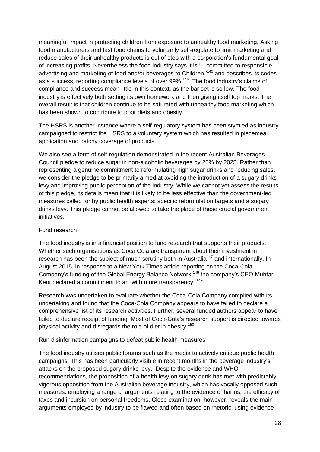meaningful impact in protecting children from exposure to unhealthy food marketing. Asking food manufacturers and fast food chains to voluntarily self-regulate to limit marketing and reduce sales of their unhealthy products is out of step with a corporation's fundamental goal of increasing profits. Nevertheless the food industry says it is '…committed to responsible advertising and marketing of food and/or beverages to Children.<sup>145</sup> and describes its codes as a success, reporting compliance levels of over 99%.<sup>146</sup> The food industry's claims of compliance and success mean little in this context, as the bar set is so low. The food industry is effectively both setting its own homework and then giving itself top marks. The overall result is that children continue to be saturated with unhealthy food marketing which has been shown to contribute to poor diets and obesity.

The HSRS is another instance where a self-regulatory system has been stymied as industry campaigned to restrict the HSRS to a voluntary system which has resulted in piecemeal application and patchy coverage of products.

We also see a form of self-regulation demonstrated in the recent Australian Beverages Council pledge to reduce sugar in non-alcoholic beverages by 20% by 2025. Rather than representing a genuine commitment to reformulating high sugar drinks and reducing sales, we consider the pledge to be primarily aimed at avoiding the introduction of a sugary drinks levy and improving public perception of the industry. While we cannot yet assess the results of this pledge, its details mean that it is likely to be less effective than the government-led measures called for by public health experts: specific reformulation targets and a sugary drinks levy. This pledge cannot be allowed to take the place of these crucial government initiatives.

#### Fund research

The food industry is in a financial position to fund research that supports their products. Whether such organisations as Coca Cola are transparent about their investment in research has been the subject of much scrutiny both in Australia<sup>147</sup> and internationally. In August 2015, in response to a New York Times article reporting on the Coca-Cola Company's funding of the Global Energy Balance Network,<sup>148</sup> the company's CEO Muhtar Kent declared a commitment to act with more transparency. <sup>149</sup>

Research was undertaken to evaluate whether the Coca-Cola Company complied with its undertaking and found that the Coca-Cola Company appears to have failed to declare a comprehensive list of its research activities. Further, several funded authors appear to have failed to declare receipt of funding. Most of Coca-Cola's research support is directed towards physical activity and disregards the role of diet in obesity.<sup>150</sup>

#### Run disinformation campaigns to defeat public health measures

The food industry utilises public forums such as the media to actively critique public health campaigns. This has been particularly visible in recent months in the beverage industry's' attacks on the proposed sugary drinks levy. Despite the evidence and WHO recommendations, the proposition of a health levy on sugary drink has met with predictably vigorous opposition from the Australian beverage industry, which has vocally opposed such measures, employing a range of arguments relating to the evidence of harms, the efficacy of taxes and incursion on personal freedoms. Close examination, however, reveals the main arguments employed by industry to be flawed and often based on rhetoric, using evidence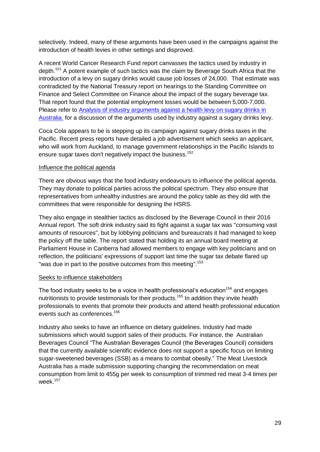selectively. Indeed, many of these arguments have been used in the campaigns against the introduction of health levies in other settings and disproved.

A recent World Cancer Research Fund report canvasses the tactics used by industry in depth.<sup>151</sup> A potent example of such tactics was the claim by Beverage South Africa that the introduction of a levy on sugary drinks would cause job losses of 24,000. That estimate was contradicted by the National Treasury report on hearings to the Standing Committee on Finance and Select Committee on Finance about the impact of the sugary beverage tax. That report found that the potential employment losses would be between 5,000-7,000. Please refer to [Analysis of industry arguments against a health levy on sugary drinks in](http://www.opc.org.au/downloads/submissions/counterpoint-tax-on-sugar-sweetened-beverages.pdf)  [Australia.](http://www.opc.org.au/downloads/submissions/counterpoint-tax-on-sugar-sweetened-beverages.pdf) for a discussion of the arguments used by industry against a sugary drinks levy.

Coca Cola appears to be is stepping up its campaign against sugary drinks taxes in the Pacific. Recent press reports have detailed a job advertisement which seeks an applicant, who will work from Auckland, to manage government relationships in the Pacific Islands to ensure sugar taxes don't negatively impact the business.<sup>152</sup>

#### Influence the political agenda

There are obvious ways that the food industry endeavours to influence the political agenda. They may donate to political parties across the political spectrum. They also ensure that representatives from unhealthy industries are around the policy table as they did with the committees that were responsible for designing the HSRS.

They also engage in stealthier tactics as disclosed by the Beverage Council in their 2016 Annual report. The soft drink industry said its fight against a sugar tax was "consuming vast amounts of resources", but by lobbying politicians and bureaucrats it had managed to keep the policy off the table. The report stated that holding its an annual board meeting at Parliament House in Canberra had allowed members to engage with key politicians and on reflection, the politicians' expressions of support last time the sugar tax debate flared up "was due in part to the positive outcomes from this meeting".<sup>153</sup>

#### Seeks to influence stakeholders

The food industry seeks to be a voice in health professional's education<sup>154</sup> and engages nutritionists to provide testimonials for their products.<sup>155</sup> In addition they invite health professionals to events that promote their products and attend health professional education events such as conferences.<sup>156</sup>

Industry also seeks to have an influence on dietary guidelines. Industry had made submissions which would support sales of their products. For instance, the Australian Beverages Council "The Australian Beverages Council (the Beverages Council) considers that the currently available scientific evidence does not support a specific focus on limiting sugar-sweetened beverages (SSB) as a means to combat obesity." The Meat Livestock Australia has a made submission supporting changing the recommendation on meat consumption from limit to 455g per week to consumption of trimmed red meat 3-4 times per week.<sup>157</sup>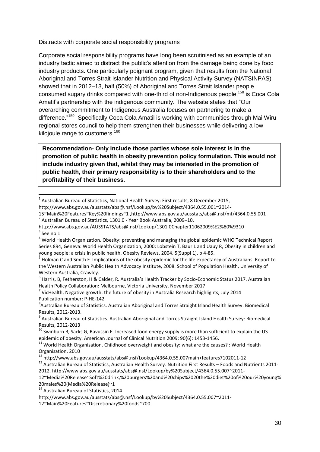#### Distracts with corporate social responsibility programs

Corporate social responsibility programs have long been scrutinised as an example of an industry tactic aimed to distract the public's attention from the damage being done by food industry products. One particularly poignant program, given that results from the National Aboriginal and Torres Strait Islander Nutrition and Physical Activity Survey (NATSINPAS) showed that in 2012–13, half (50%) of Aboriginal and Torres Strait Islander people consumed sugary drinks compared with one-third of non-Indigenous people,<sup>158</sup> is Coca Cola Amatil's partnership with the indigenous community. The website states that "Our overarching commitment to Indigenous Australia focuses on partnering to make a difference."<sup>159</sup> Specifically Coca Cola Amatil is working with communities through Mai Wiru regional stores council to help them strengthen their businesses while delivering a lowkilojoule range to customers.<sup>160</sup>

Recommendation- Only include those parties whose sole interest is in the promotion of public health in obesity prevention policy formulation. This would not **include industry given that, whilst they may be interested in the promotion of public health, their primary responsibility is to their shareholders and to the profitability of their business**.

 $^7$  VicHealth, Negative growth: the future of obesity in Australia Research highlights, July 2014 Publication number: P-HE-142

 1 Australian Bureau of Statistics, National Health Survey: First results, 8 December 2015,

http://www.abs.gov.au/ausstats/abs@.nsf/Lookup/by%20Subject/4364.0.55.001~2014-

<sup>15~</sup>Main%20Features~Key%20findings~1 ,http://www.abs.gov.au/ausstats/abs@.nsf/mf/4364.0.55.001  $2$  Australian Bureau of Statistics, 1301.0 - Year Book Australia, 2009–10,

http://www.abs.gov.au/AUSSTATS/abs@.nsf/Lookup/1301.0Chapter11062009%E2%80%9310  $3$  See no 1

<sup>4</sup> World Health Organization. Obesity: preventing and managing the global epidemic WHO Technical Report Series 894, Geneva: World Health Organization, 2000; Lobstein T, Baur L and Uauy R, Obesity in children and young people: a crisis in public health. Obesity Reviews, 2004. 5(Suppl 1), p 4-85.

<sup>&</sup>lt;sup>5</sup> Holman C and Smith F. Implications of the obesity epidemic for the life expectancy of Australians. Report to the Western Australian Public Health Advocacy Institute, 2008. School of Population Health, University of Western Australia, Crawley.

<sup>6</sup> Harris, B, Fetherston, H & Calder, R. Australia's Health Tracker by Socio-Economic Status 2017. Australian Health Policy Collaboration: Melbourne, Victoria University, November 2017

<sup>8</sup> Australian Bureau of Statistics. Australian Aboriginal and Torres Straight Island Health Survey: Biomedical Results, 2012-2013.

<sup>&</sup>lt;sup>9</sup> Australian Bureau of Statistics. Australian Aboriginal and Torres Straight Island Health Survey: Biomedical Results, 2012-2013

 $10$  Swinburn B. Sacks G. Ravussin E. Increased food energy supply is more than sufficient to explain the US epidemic of obesity. American Journal of Clinical Nutrition 2009; 90(6): 1453-1456.

<sup>&</sup>lt;sup>1</sup> World Health Organisation. Childhood overweight and obesity: what are the causes? : World Health Organisation, 2010

<sup>12</sup> http://www.abs.gov.au/ausstats/abs@.nsf/Lookup/4364.0.55.007main+features7102011-12

<sup>13</sup> Australian Bureau of Statistics, Australian Health Survey: Nutrition First Results – Foods and Nutrients 2011- 2012, http://www.abs.gov.au/ausstats/abs@.nsf/Lookup/by%20Subject/4364.0.55.007~2011-

<sup>12~</sup>Media%20Release~Soft%20drink,%20burgers%20and%20chips%2020the%20diet%20of%20our%20young% 20males%20(Media%20Release)~1

<sup>&</sup>lt;sup>14</sup> Australian Bureau of Statistics, 2014

http://www.abs.gov.au/ausstats/abs@.nsf/Lookup/by%20Subject/4364.0.55.007~2011-

<sup>12~</sup>Main%20Features~Discretionary%20foods~700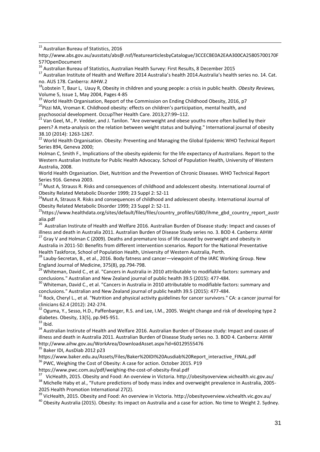<sup>15</sup> Australian Bureau of Statistics, 2016

-

http://www.abs.gov.au/ausstats/abs@.nsf/featurearticlesbyCatalogue/3CCECBE0A2EAA300CA25805700170F 57?OpenDocument

<sup>16</sup> Australian Bureau of Statistics, Australian Health Survey: First Results, 8 December 2015

<sup>17</sup> Australian Institute of Health and Welfare 2014 Australia's health 2014.Australia's health series no. 14. Cat. no. AUS 178. Canberra: AIHW.2

<sup>18</sup>Lobstein T, Baur L, Uauy R, Obesity in children and young people: a crisis in public health. *Obesity Reviews,*  Volume 5, Issue 1, May 2004, Pages 4-85

<sup>19</sup> World Health Organisation, Report of the Commission on Ending Childhood Obesity, 2016, p7 <sup>20</sup>Pizzi MA, Vroman K. Childhood obesity: effects on children's participation, mental health, and

psychosocial development. OccupTher Health Care. 2013;27:99–112.

<sup>21</sup> Van Geel, M., P. Vedder, and J. Tanilon. "Are overweight and obese youths more often bullied by their peers? A meta-analysis on the relation between weight status and bullying." International journal of obesity 38.10 (2014): 1263-1267.

<sup>22</sup> World Health Organisation. Obesity: Preventing and Managing the Global Epidemic WHO Technical Report Series 894, Geneva 2000;

Holman C, Smith F., Implications of the obesity epidemic for the life expectancy of Australians. Report to the Western Australian Institute for Public Health Advocacy. School of Population Health, University of Western Australia, 2008.

World Health Organisation. Diet, Nutrition and the Prevention of Chronic Diseases. WHO Technical Report Series 916. Geneva 2003.

<sup>23</sup> Must A, Strauss R. Risks and consequences of childhood and adolescent obesity. International Journal of Obesity Related Metabolic Disorder 1999; 23 Suppl 2: S2-11

<sup>24</sup> Must A, Strauss R. Risks and consequences of childhood and adolescent obesity. International Journal of Obesity Related Metabolic Disorder 1999; 23 Suppl 2: S2-11.

<sup>25</sup>https://www.healthdata.org/sites/default/files/files/country\_profiles/GBD/ihme\_gbd\_country\_report\_austr alia.pdf

<sup>26</sup> Australian Instirute of Health and Welfare 2016. Australian Burden of Disease study: Impact and causes of illness and death in Australia 2011. Australian Burden of Disease Study series no. 3. BOD 4. Canberra: AIHW

<sup>27</sup> Gray V and Holman C (2009). Deaths and premature loss of life caused by overweight and obesity in Australia in 2011-50: Benefits from different intervention scenarios. Report for the National Preventative Health Taskforce, School of Population Health, University of Western Australia, Perth.

<sup>28</sup> Lauby-Secretan, B., et al., 2016. Body fatness and cancer—viewpoint of the IARC Working Group. New England Journal of Medicine, 375(8), pp.794-798.

<sup>29</sup> Whiteman, David C., et al. "Cancers in Australia in 2010 attributable to modifiable factors: summary and conclusions." Australian and New Zealand journal of public health 39.5 (2015): 477-484.

<sup>30</sup> Whiteman, David C., et al. "Cancers in Australia in 2010 attributable to modifiable factors: summary and conclusions." Australian and New Zealand journal of public health 39.5 (2015): 477-484.

 $31$  Rock, Cheryl L., et al. "Nutrition and physical activity guidelines for cancer survivors." CA: a cancer journal for clinicians 62.4 (2012): 242-274.

 $32$  Oguma, Y., Sesso, H.D., Paffenbarger, R.S. and Lee, I.M., 2005. Weight change and risk of developing type 2 diabetes. Obesity, 13(5), pp.945-951.

 $33$  Ibid.

<sup>34</sup> Australian Instirute of Health and Welfare 2016. Australian Burden of Disease study: Impact and causes of illness and death in Australia 2011. Australian Burden of Disease Study series no. 3. BOD 4. Canberra: AIHW http://www.aihw.gov.au/WorkArea/DownloadAsset.aspx?id=60129555476

<sup>35</sup> Baker IDI, AusDiab 2012 p23

https://www.baker.edu.au/Assets/Files/Baker%20IDI%20Ausdiab%20Report\_interactive\_FINAL.pdf <sup>36</sup> PWC, Weighing the Cost of Obesity: A case for action. October 2015. P19

https://www.pwc.com.au/pdf/weighing-the-cost-of-obesity-final.pdf

<sup>37</sup> VicHealth, 2015. Obesity and Food: An overview in Victoria. http://obesityoverview.vichealth.vic.gov.au/ <sup>38</sup> Michelle Haby et al., "Future predictions of body mass index and overweight prevalence in Australia, 2005-2025 Health Promotion International 27(2).

<sup>39</sup> VicHealth, 2015. Obesity and Food: An overview in Victoria. http://obesityoverview.vichealth.vic.gov.au/

 $40$  Obesity Australia (2015). Obesity: Its impact on Australia and a case for action. No time to Weight 2. Sydney.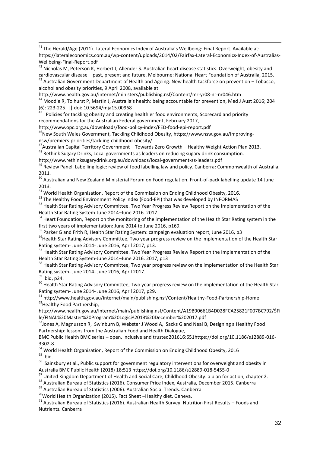- $^{41}$  The Herald/Age (2011). Lateral Economics Index of Australia's Wellbeing: Final Report. Available at: https://lateraleconomics.com.au/wp-content/uploads/2014/02/Fairfax-Lateral-Economics-Index-of-Australias-Wellbeing-Final-Report.pdf

<sup>42</sup> Nicholas M, Peterson K, Herbert J, Allender S. Australian heart disease statistics. Overweight, obesity and cardiovascular disease – past, present and future. Melbourne: National Heart Foundation of Australia, 2015.  $^{43}$  Australian Government Department of Health and Ageing. New health taskforce on prevention – Tobacco, alcohol and obesity priorities, 9 April 2008, available at

http://www.health.gov.au/internet/ministers/publishing.nsf/Content/mr-yr08-nr-nr046.htm

<sup>44</sup> Moodie R, Tolhurst P, Martin J, Australia's health: being accountable for prevention, Med J Aust 2016; 204 (6): 223-225. || doi: 10.5694/mja15.00968

<sup>45</sup> Policies for tackling obesity and creating healthier food environments, Scorecard and priority recommendations for the Australian Federal government, February 2017,

http://www.opc.org.au/downloads/food-policy-index/FED-food-epi-report.pdf

<sup>46</sup>New South Wales Government, Tackling Childhood Obesity, https://www.nsw.gov.au/improvingnsw/premiers-priorities/tackling-childhood-obesity/

<sup>47</sup>Australian Capital Territory Government – Towards Zero Growth – Healthy Weight Action Plan 2013. <sup>48</sup> Rethink Sugary Drinks, Local governments as leaders on reducing sugary drink consumption.

http://www.rethinksugarydrink.org.au/downloads/local-government-as-leaders.pdf

<sup>49</sup> Review Panel. Labelling logic: review of food labelling law and policy. Canberra: Commonwealth of Australia. 2011.

<sup>50</sup> Australian and New Zealand Ministerial Forum on Food regulation. Front-of-pack labelling update 14 June 2013.

<sup>51</sup> World Health Organisation, Report of the Commission on Ending Childhood Obesity, 2016.

52 The Healthy Food Environment Policy Index (Food-EPI) that was developed by INFORMAS

<sup>53</sup> Health Star Rating Advisory Committee. Two Year Progress Review Report on the Implementation of the Health Star Rating System-June 2014–June 2016. 2017.

<sup>54</sup> Heart Foundation, Report on the monitoring of the implementation of the Health Star Rating system in the first two years of implementation: June 2014 to June 2016, p169.

<sup>55</sup> Parker G and Frith R, Health Star Rating System: campaign evaluation report, June 2016, p3

<sup>56</sup>Health Star Rating Advisory Committee, Two year progress review on the implementation of the Health Star Rating system- June 2014- June 2016, April 2017, p13.

<sup>57</sup> Health Star Rating Advisory Committee. Two Year Progress Review Report on the Implementation of the Health Star Rating System-June 2014–June 2016. 2017, p13

<sup>58</sup> Health Star Rating Advisory Committee, Two year progress review on the implementation of the Health Star Rating system- June 2014- June 2016, April 2017.

 $59$  Ibid, p24.

<sup>60</sup> Health Star Rating Advisory Committee, Two year progress review on the implementation of the Health Star Rating system- June 2014- June 2016, April 2017, p29.

 $61$  http://www.health.gov.au/internet/main/publishing.nsf/Content/Healthy-Food-Partnership-Home <sup>62</sup> Healthy Food Partnership,

http://www.health.gov.au/internet/main/publishing.nsf/Content/A19B90661B4D028FCA25821F007BC792/\$Fi le/FINAL%20Master%20Program%20Logic%2013%20December%202017.pdf

<sup>63</sup> Jones A, Magnusson R, Swinburn B, Webster J Wood A, Sacks G and Neal B, Designing a Healthy Food Partnership: lessons from the Australian Food and Health Dialogue,

BMC Public Health BMC series – open, inclusive and trusted201616:651https://doi.org/10.1186/s12889-016- 3302-8

<sup>64</sup> World Health Organisation, Report of the Commission on Ending Childhood Obesity, 2016  $65$  Ibid.

 $^{66}$  Sainsbury et al., Public support for government regulatory interventions for overweight and obesity in Australia BMC Public Health (2018) 18:513 https://doi.org/10.1186/s12889-018-5455-0

<sup>67</sup> United Kingdom Department of Health and Social Care, Childhood Obesity: a plan for action, chapter 2.

<sup>68</sup> Australian Bureau of Statistics (2016). Consumer Price Index, Australia, December 2015. Canberra

<sup>69</sup> Australian Bureau of Statistics (2006). Australian Social Trends. Canberra

 $70$ World Health Organization (2015). Fact Sheet -Healthy diet. Geneva.

<sup>71</sup> Australian Bureau of Statistics (2016). Australian Health Survey: Nutrition First Results – Foods and Nutrients. Canberra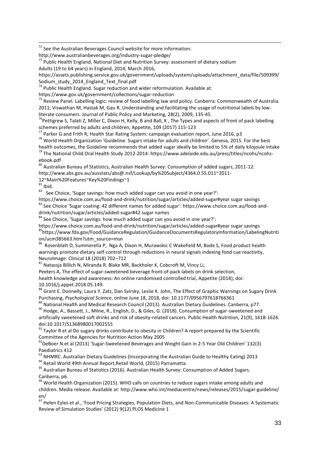- $72$  See the Australian Beverages Council website for more information:

http://www.australianbeverages.org/industry-sugar-pledge/

 $73$  Public Health England, National Diet and Nutrition Survey: assessment of dietary sodium Adults (19 to 64 years) in England, 2014, March 2016,

https://assets.publishing.service.gov.uk/government/uploads/system/uploads/attachment\_data/file/509399/ Sodium\_study\_2014\_England\_Text\_final.pdf

 $74$  Public Health England. Sugar reduction and wider reformulation. Available at:

https://www.gov.uk/government/collections/sugar-reduction

<sup>75</sup> Review Panel. Labelling logic: review of food labelling law and policy. Canberra: Commonwealth of Australia. 2011; Viswathan M, Hastak M, Gau R. Understanding and facilitating the usage of nutritional labels by lowliterate consumers. Journal of Public Policy and Marketing, 28(2), 2009, 135-45.

 $76$ Pettigrew S, Talati Z, Miller C, Dixon H, Kelly, B and Ball, K, The Types and aspects of front of pack labelling schemes preferred by adults and children, Appetite, 109 (2017) 115-123

 $77$  Parker G and Frith R, Health Star Rating System: campaign evaluation report, June 2016, p3

<sup>78</sup> World Health Organization 'Guideline: Sugars intake for adults and children'. Geneva, 2015. For the best health outcomes, the Guideline recommends that added sugar ideally be limited to 5% of daily kilojoule intake

<sup>79</sup> The National Child Oral Health Study 2012-2014: https://www.adelaide.edu.au/press/titles/ncohs/ncohsebook.pdf

80 Australian Bureau of Statistics, Australian Health Survey: Consumption of added sugars, 2011-12: http://www.abs.gov.au/ausstats/abs@.nsf/Lookup/by%20Subject/4364.0.55.011~2011-

12~Main%20Features~Key%20Findings~1

 $81$  Ibid.

 $82$  See Choice, 'Sugar savings: how much added sugar can you avoid in one year?':

https://www.choice.com.au/food-and-drink/nutrition/sugar/articles/added-sugar#year sugar savings <sup>83</sup> See Choice 'Sugar coating: 42 different names for added sugar': https://www.choice.com.au/food-anddrink/nutrition/sugar/articles/added-sugar#42 sugar names

 $84$  See Choice, 'Sugar savings: how much added sugar can you avoid in one year?':

https://www.choice.com.au/food-and-drink/nutrition/sugar/articles/added-sugar#year sugar savings

<sup>85</sup>https://www.fda.gov/Food/GuidanceRegulation/GuidanceDocumentsRegulatoryInformation/LabelingNutriti

on/ucm385663.htm?utm\_source=msn<br><sup>86</sup> Rosenblatt D, Summerella P, Nga A, Dixon H, Murawskic C Wakefield M, Bode S, Food product health warnings promote dietary self-control through reductions in neural signals indexing food cue reactivity, NeuroImage: Clinical 18 (2018) 702–712

<sup>87</sup> Natassja Billich N, Miranda R. Blake MR, Backholer K, Cobcroft M, Vincy Li,

Peeters A, The effect of sugar-sweetened beverage front-of-pack labels on drink selection,

health knowledge and awareness: An online randomised controlled trial, Appetite (2018), doi: 10.1016/j.appet.2018.05.149.

88 Grant E. Donnelly, Laura Y. Zatz, Dan Svirsky, Leslie K. John, The Effect of Graphic Warnings on Sugary Drink Purchasing, *Psychological Science*, online June 18, 2018, doi: 10.1177/0956797618766361

89 National Health and Medical Research Council (2013). Australian Dietary Guidelines. Canberra, p77.

90 Hodge, A., Bassett, J., Milne, R., English, D., & Giles, G. (2018). Consumption of sugar-sweetened and artificially sweetened soft drinks and risk of obesity-related cancers. Public Health Nutrition, 21(9), 1618-1626. doi:10.1017/S1368980017002555

 $91$  Taylor R et al Do sugary drinks contribute to obesity in Children? A report prepared by the Scientific Committee of the Agencies for Nutrition Action May 2005

<sup>92</sup>DeBoer N et al (2013) 'Sugar-Sweetened Beverages and Weight Gain in 2-5 Year Old Children' 132(3) Paediatrics 412

93 NHMRC. Australian Dietary Guidelines (Incorporating the Australian Guide to Healthy Eating) 2013

94 Retail World 49th Annual Report, Retail World, (2015) Parramatta.

<sup>95</sup> Australian Bureau of Statistics (2016). Australian Health Survey: Consumption of Added Sugars. Canberra, p6.

 $^{96}$  World Health Organization (2015). WHO calls on countries to reduce sugars intake among adults and children. Media release. Available at: http://www.who.int/mediacentre/news/releases/2015/sugar-guideline/ en/

<sup>97</sup> Helen Eyles et al., 'Food Pricing Strategies, Population Diets, and Non-Communicable Diseases: A Systematic Review of Simulation Studies' (2012) 9(12) PLOS Medicine 1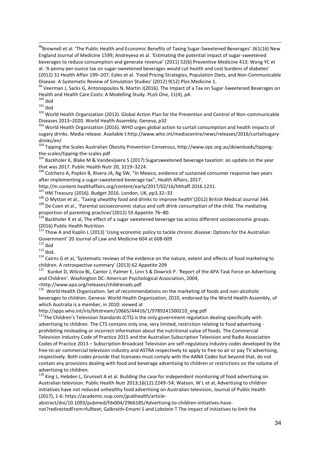- $^{98}$ Brownell et al. 'The Public Health and Economic Benefits of Taxing Sugar-Sweetened Beverages' 361(16) New England Journal of Medicine 1599; Andreyeva et al. 'Estimating the potential impact of sugar-sweetened beverages to reduce consumption and generate revenue' (2011) 52(6) Preventive Medicine 413; Wang YC et al. 'A penny-per-ounce tax on sugar-sweetened beverages would cut health and cost burdens of diabetes' (2012) 31 Health Affair 199–207; Eyles et al. 'Food Pricing Strategies, Population Diets, and Non-Communicable Disease: A Systematic Review of Simulation Studies' (2012) 9(12) Plos Medicine 1.

99 Veerman J, Sacks G, Antonopoulos N, Martin J(2016). The Impact of a Tax on Sugar-Sweetened Beverages on Health and Health Care Costs: A Modelling Study. PLoS One, 11(4), p4.

 $100$  ibid

 $101$  ibid

<sup>102</sup> World Health Organization (2013). Global Action Plan for the Prevention and Control of Non-communicable Diseases 2013–2020. World Health Assembly, Geneva, p32

<sup>103</sup> World Health Organization (2016). WHO urges global action to curtail consumption and health impacts of sugary drinks. Media release. Available t:http://www.who.int/mediacentre/news/releases/2016/curtailsugarydrinks/en/

<sup>104</sup> Tipping the Scales Australian Obesity Prevention Consensus, http://www.opc.org.au/downloads/tippingthe-scales/tipping-the-scales.pdf

<sup>105</sup> Backholer K, Blake M & Vandevijvere S (2017) Sugarsweetened beverage taxation: an update on the year that was 2017. Public Health Nutr 20, 3219–3224.

<sup>106</sup> Colchero A, Popkin B, Rivera JA, Ng SW, "In Mexico, evidence of sustained consumer response two years after implementing a sugar-sweetened beverage tax", Health Affairs, 2017.

http://m.content.healthaffairs.org/content/early/2017/02/16/hlthaff.2016.1231.

<sup>107</sup> HM Treasury (2016). Budget 2016. London, UK, pp3,32–33

<sup>108</sup> O Mytton et al., 'Taxing uhealthy food and drinks to improve health'(2012) British Medical Journal 344.

<sup>109</sup> De Coen et al., 'Parental socioeconomic status and soft drink consumption of the child. The mediating proportion of parenting practices'(2012) 59 Appetite 76–80.

 $110$  Backholer K et al, The effect of a sugar sweetened beverage tax across different socioeconomic groups. (2016) Public Health Nutrition

<sup>111</sup> Thow A and Kaplin L (2013) 'Using economic policy to tackle chronic disease: Options for the Australian Government' 20 Journal of Law and Medicine 604 at 608-609

 $112$  ibid  $113$  Ibid.

<sup>114</sup> Cairns G et al, 'Systematic reviews of the evidence on the nature, extent and effects of food marketing to children. A retrospective summary' (2013) 62 Appetite 209

<sup>115</sup> Kunkel D, Wilcox BL, Cantor J, Palmer E, Linn S & Dowrick P. 'Report of the APA Task Force on Advertising and Children'. Washington DC: American Psychological Association, 2004,

<http://www.apa.org/releases/childrenads.pdf

<sup>116</sup> World Health Organization. Set of recommendations on the marketing of foods and non-alcoholic beverages to children. Geneva: World Health Organization, 2010, endorsed by the World Health Assembly, of which Australia is a member, in 2010: viewed at

http://apps.who.int/iris/bitstream/10665/44416/1/9789241500210\_eng.pdf

<sup>117</sup>The Children's Television Standards (CTS) is the only government regulation dealing specifically with advertising to children. The CTS contains only one, very limited, restriction relating to food advertising prohibiting misleading or incorrect information about the nutritional value of foods. The Commercial Television Industry Code of Practice 2015 and the Australian Subscription Television and Radio Association Codes of Practice 2013 – Subscription Broadcast Television are self-regulatory industry codes developed by the free-to-air commercial television industry and ASTRA respectively to apply to free-to air or pay TV advertising, respectively. Both codes provide that licensees must comply with the AANA Codes but beyond that, do not contain any provisions dealing with food and beverage advertising to children or restrictions on the volume of advertising to children.

<sup>118</sup> King L, Hebden L, Grunseit A et al. Building the case for independent monitoring of food advertising on Australian television. Public Health Nutr 2013;16(12):2249–54; Watson, W L et al, Advertising to children initiatives have not reduced unhealthy food advertising on Australian television, Journal of Public Health (2017), 1-6: https://academic.oup.com/jpubhealth/article-

abstract/doi/10.1093/pubmed/fdx004/2966185/Advertising-to-children-initiatives-havenot?redirectedFrom=fulltext; Galbraith-Emami S and Lobstein T The impact of initiatives to limit the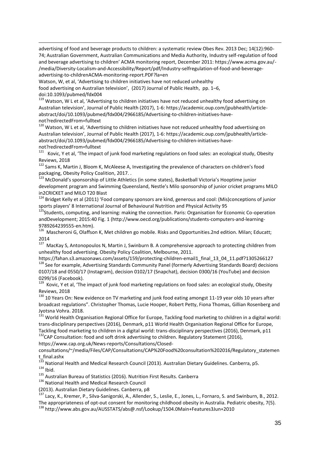advertising of food and beverage products to children: a systematic review Obes Rev. 2013 Dec; 14(12):960- 74; Australian Government, Australian Communications and Media Authority, Industry self-regulation of food and beverage advertising to children' ACMA monitoring report, December 2011: https://www.acma.gov.au/- /media/Diversity-Localism-and-Accessibility/Report/pdf/Industry-selfregulation-of-food-and-beverageadvertising-to-childrenACMA-monitoring-report.PDF?la=en

Watson, W, et al, 'Advertising to children initiatives have not reduced unhealthy food advertising on Australian television', (2017) Journal of Public Health, pp. 1–6, doi:10.1093/pubmed/fdx004

<sup>119</sup> Watson, W L et al, 'Advertising to children initiatives have not reduced unhealthy food advertising on Australian television', Journal of Public Health (2017), 1-6: https://academic.oup.com/jpubhealth/articleabstract/doi/10.1093/pubmed/fdx004/2966185/Advertising-to-children-initiatives-havenot?redirectedFrom=fulltext

<sup>120</sup> Watson, W L et al, 'Advertising to children initiatives have not reduced unhealthy food advertising on Australian television', Journal of Public Health (2017), 1-6: https://academic.oup.com/jpubhealth/articleabstract/doi/10.1093/pubmed/fdx004/2966185/Advertising-to-children-initiatives-havenot?redirectedFrom=fulltext

<sup>121</sup> Kovic, Y et al, 'The impact of junk food marketing regulations on food sales: an ecological study, Obesity Reviews, 2018

<sup>122</sup> Sams K, Martin J, Bloom K, McAleese A, Investigating the prevalence of characters on children's food packaging, Obesity Policy Coalition, 2017. .

<sup>123</sup> McDonald's sponsorship of Little Athletics (in some states), Basketball Victoria's Hooptime junior development program and Swimming Queensland, Nestle's Milo sponsorship of junior cricket programs MILO in2CRICKET and MILO T20 Blast

<sup>124</sup> Bridget Kelly et al (2011) 'Food company sponsors are kind, generous and cool: (Mis)conceptions of junior sports players' 8 International Journal of Behavioural Nutrition and Physical Activity 95

<sup>125</sup>Students, computing, and learning: making the connection. Paris: Organisation for Economic Co-operation andDevelopment; 2015:40 Fig. 1 (http://www.oecd.org/publications/students-computers-and-learning-9789264239555-en.htm).

<sup>126</sup> Mascheroni G, Olaffson K, Met children go mobile. Risks and Opportunities.2nd edition. Milan; Educatt; 2014

<sup>127</sup> MacKay S, Antonopoulos N, Martin J, Swinburn B. A comprehensive approach to protecting children from unhealthy food advertising. Obesity Policy Coalition, Melbourne, 2011.

https://fahan.s3.amazonaws.com/assets/159/protecting-children-email1\_final\_13\_04\_11.pdf?1305266127 <sup>128</sup> See for example, Advertising Standards Community Panel (formerly Advertising Standards Board) decisions 0107/18 and 0550/17 (Instagram), decision 0102/17 (Snapchat), decision 0300/16 (YouTube) and decision 0299/16 (Facebook).

<sup>129</sup> Kovic. Y et al. 'The impact of junk food marketing regulations on food sales: an ecological study, Obesity Reviews, 2018

 $130$  10 Years On: New evidence on TV marketing and junk food eating amongst 11-19 year olds 10 years after broadcast regulations". Christopher Thomas, Lucie Hooper, Robert Petty, Fiona Thomas, Gillian Rosenberg and Jyotsna Vohra. 2018.

<sup>131</sup> World Health Organisation Regional Office for Europe, Tackling food marketing to children in a digital world: trans-disciplinary perspectives (2016), Denmark, p11 World Health Organisation Regional Office for Europe, Tackling food marketing to children in a digital world: trans-disciplinary perspectives (2016), Denmark, p11 <sup>132</sup>CAP Consultation: food and soft drink advertising to children. Regulatory Statement (2016),

https://www.cap.org.uk/News-reports/Consultations/Closed-

consultations/~/media/Files/CAP/Consultations/CAP%20Food%20consultation%202016/Regulatory\_statemen t\_final.ashx

<sup>133</sup> National Health and Medical Research Council (2013). Australian Dietary Guidelines. Canberra, p5.

 $134$  Ibid.

135 Australian Bureau of Statistics (2016). Nutrition First Results. Canberra

136 National Health and Medical Research Council

(2013). Australian Dietary Guidelines. Canberra, p8

<sup>137</sup> Lacy, K., Kremer, P., Silva-Sanigorski, A., Allender, S., Leslie, E., Jones, L., Fornaro, S. and Swinburn, B., 2012. The appropriateness of opt-out consent for monitoring childhood obesity in Australia. Pediatric obesity, 7(5).

<sup>138</sup> http://www.abs.gov.au/AUSSTATS/abs@.nsf/Lookup/1504.0Main+Features3Jun+2010